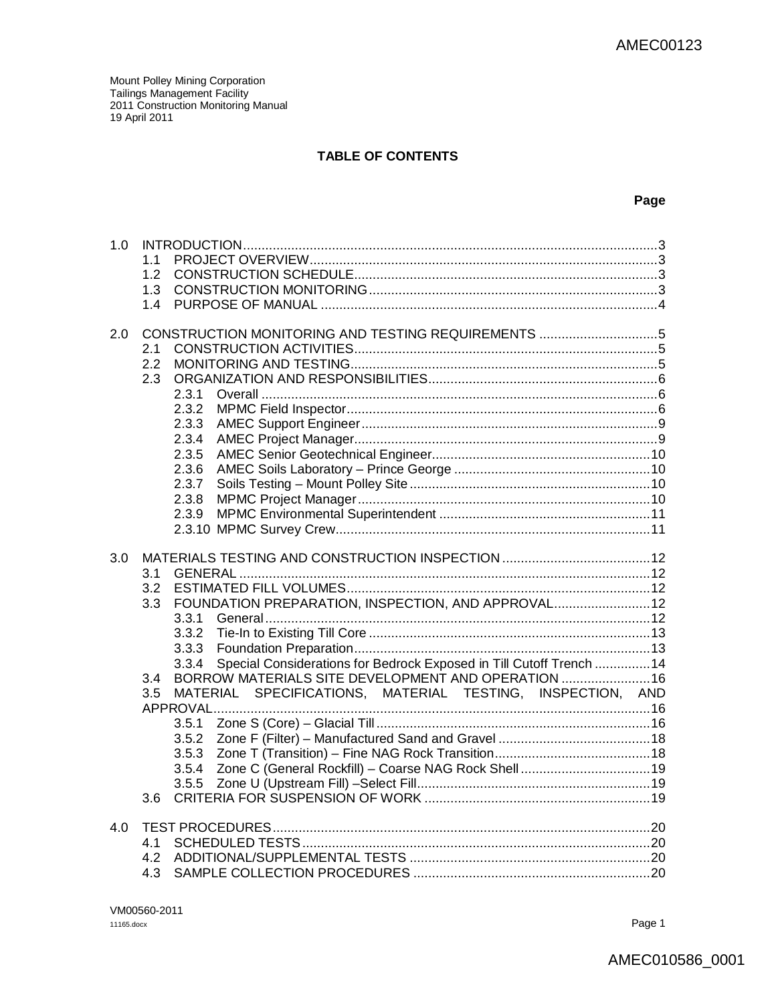# **TABLE OF CONTENTS**

### **Page**

| 1.0 | 1.1<br>1.2<br>1.3                                                                                                                                                                                                                                                                                                                                                           |  |
|-----|-----------------------------------------------------------------------------------------------------------------------------------------------------------------------------------------------------------------------------------------------------------------------------------------------------------------------------------------------------------------------------|--|
|     | 1.4                                                                                                                                                                                                                                                                                                                                                                         |  |
| 2.0 | 2.1<br>2.2<br>2.3<br>2.3.1<br>2.3.2<br>2.3.3<br>2.3.4<br>2.3.5<br>2.3.6<br>2.3.7<br>2.3.8<br>2.3.9                                                                                                                                                                                                                                                                          |  |
| 3.0 | 3.1<br>3.2<br>FOUNDATION PREPARATION, INSPECTION, AND APPROVAL 12<br>3.3<br>3.3.1<br>3.3.2<br>3.3.3<br>Special Considerations for Bedrock Exposed in Till Cutoff Trench  14<br>3.3.4<br>BORROW MATERIALS SITE DEVELOPMENT AND OPERATION  16<br>3.4<br>MATERIAL SPECIFICATIONS, MATERIAL TESTING, INSPECTION, AND<br>3.5<br>3.5.1<br>3.5.2<br>3.5.3<br>3.5.4<br>3.5.5<br>3.6 |  |
| 4.0 | 4.1<br>4.2<br>4.3                                                                                                                                                                                                                                                                                                                                                           |  |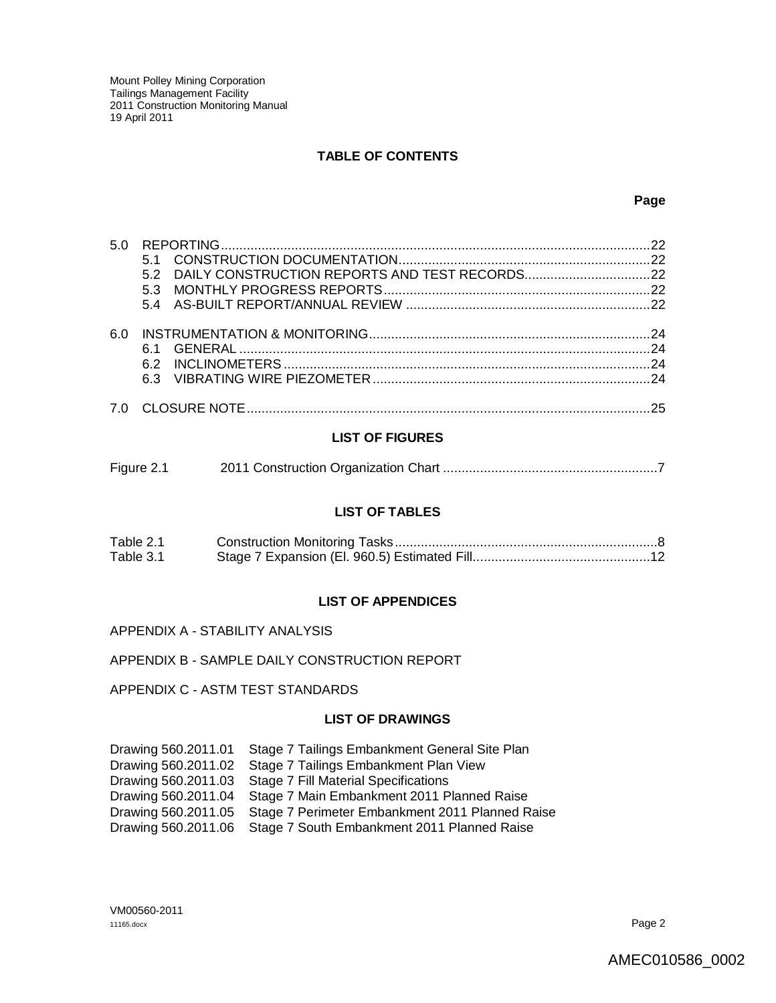# **TABLE OF CONTENTS**

### **Page**

| 5.0 |                                                   |  |
|-----|---------------------------------------------------|--|
|     |                                                   |  |
|     | 5.2 DAILY CONSTRUCTION REPORTS AND TEST RECORDS22 |  |
|     | 53                                                |  |
|     |                                                   |  |
|     |                                                   |  |
| 60  |                                                   |  |
|     |                                                   |  |
|     | 62                                                |  |
|     |                                                   |  |
|     |                                                   |  |
|     |                                                   |  |
|     |                                                   |  |

#### **LIST OF FIGURES**

| Figure 2.1 |  |
|------------|--|
|            |  |

#### **LIST OF TABLES**

| Table 2.1 |  |
|-----------|--|
| Table 3.1 |  |

# **LIST OF APPENDICES**

#### APPENDIX A - STABILITY ANALYSIS

#### APPENDIX B - SAMPLE DAILY CONSTRUCTION REPORT

APPENDIX C - ASTM TEST STANDARDS

### **LIST OF DRAWINGS**

| Drawing 560.2011.01 | Stage 7 Tailings Embankment General Site Plan                   |
|---------------------|-----------------------------------------------------------------|
| Drawing 560.2011.02 | Stage 7 Tailings Embankment Plan View                           |
|                     |                                                                 |
| Drawing 560.2011.03 | Stage 7 Fill Material Specifications                            |
| Drawing 560.2011.04 | Stage 7 Main Embankment 2011 Planned Raise                      |
| Drawing 560.2011.05 | Stage 7 Perimeter Embankment 2011 Planned Raise                 |
|                     | Drawing 560.2011.06 Stage 7 South Embankment 2011 Planned Raise |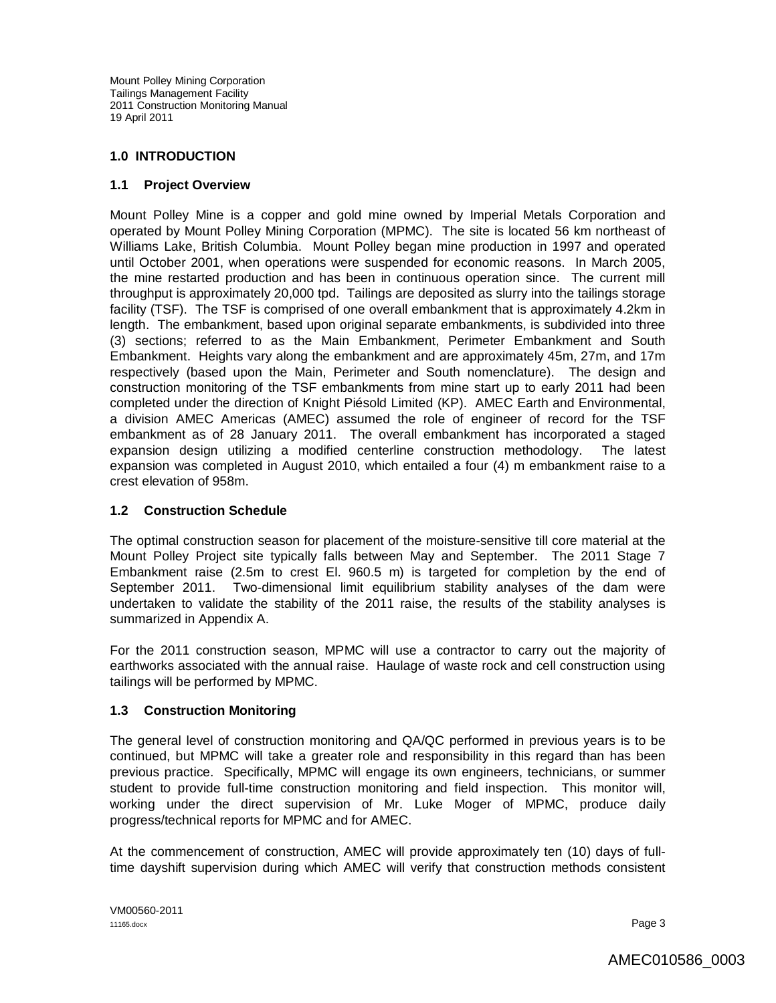## **1.0 INTRODUCTION**

#### **1.1 Project Overview**

Mount Polley Mine is a copper and gold mine owned by Imperial Metals Corporation and operated by Mount Polley Mining Corporation (MPMC). The site is located 56 km northeast of Williams Lake, British Columbia. Mount Polley began mine production in 1997 and operated until October 2001, when operations were suspended for economic reasons. In March 2005, the mine restarted production and has been in continuous operation since. The current mill throughput is approximately 20,000 tpd. Tailings are deposited as slurry into the tailings storage facility (TSF). The TSF is comprised of one overall embankment that is approximately 4.2km in length. The embankment, based upon original separate embankments, is subdivided into three (3) sections; referred to as the Main Embankment, Perimeter Embankment and South Embankment. Heights vary along the embankment and are approximately 45m, 27m, and 17m respectively (based upon the Main, Perimeter and South nomenclature). The design and construction monitoring of the TSF embankments from mine start up to early 2011 had been completed under the direction of Knight Piésold Limited (KP). AMEC Earth and Environmental, a division AMEC Americas (AMEC) assumed the role of engineer of record for the TSF embankment as of 28 January 2011. The overall embankment has incorporated a staged expansion design utilizing a modified centerline construction methodology. The latest expansion was completed in August 2010, which entailed a four (4) m embankment raise to a crest elevation of 958m.

# **1.2 Construction Schedule**

The optimal construction season for placement of the moisture-sensitive till core material at the Mount Polley Project site typically falls between May and September. The 2011 Stage 7 Embankment raise (2.5m to crest El. 960.5 m) is targeted for completion by the end of September 2011. Two-dimensional limit equilibrium stability analyses of the dam were undertaken to validate the stability of the 2011 raise, the results of the stability analyses is summarized in Appendix A.

For the 2011 construction season, MPMC will use a contractor to carry out the majority of earthworks associated with the annual raise. Haulage of waste rock and cell construction using tailings will be performed by MPMC.

# **1.3 Construction Monitoring**

The general level of construction monitoring and QA/QC performed in previous years is to be continued, but MPMC will take a greater role and responsibility in this regard than has been previous practice. Specifically, MPMC will engage its own engineers, technicians, or summer student to provide full-time construction monitoring and field inspection. This monitor will, working under the direct supervision of Mr. Luke Moger of MPMC, produce daily progress/technical reports for MPMC and for AMEC.

At the commencement of construction, AMEC will provide approximately ten (10) days of fulltime dayshift supervision during which AMEC will verify that construction methods consistent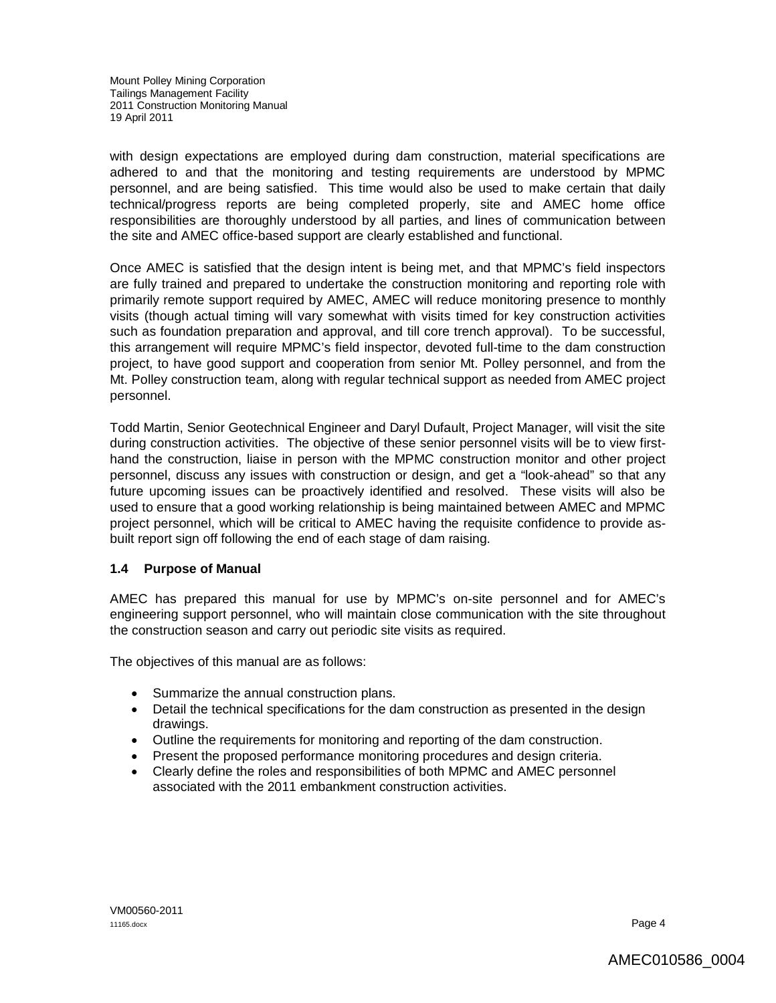with design expectations are employed during dam construction, material specifications are adhered to and that the monitoring and testing requirements are understood by MPMC personnel, and are being satisfied. This time would also be used to make certain that daily technical/progress reports are being completed properly, site and AMEC home office responsibilities are thoroughly understood by all parties, and lines of communication between the site and AMEC office-based support are clearly established and functional.

Once AMEC is satisfied that the design intent is being met, and that MPMC's field inspectors are fully trained and prepared to undertake the construction monitoring and reporting role with primarily remote support required by AMEC, AMEC will reduce monitoring presence to monthly visits (though actual timing will vary somewhat with visits timed for key construction activities such as foundation preparation and approval, and till core trench approval). To be successful, this arrangement will require MPMC's field inspector, devoted full-time to the dam construction project, to have good support and cooperation from senior Mt. Polley personnel, and from the Mt. Polley construction team, along with regular technical support as needed from AMEC project personnel.

Todd Martin, Senior Geotechnical Engineer and Daryl Dufault, Project Manager, will visit the site during construction activities. The objective of these senior personnel visits will be to view firsthand the construction, liaise in person with the MPMC construction monitor and other project personnel, discuss any issues with construction or design, and get a "look-ahead" so that any future upcoming issues can be proactively identified and resolved. These visits will also be used to ensure that a good working relationship is being maintained between AMEC and MPMC project personnel, which will be critical to AMEC having the requisite confidence to provide asbuilt report sign off following the end of each stage of dam raising.

# **1.4 Purpose of Manual**

AMEC has prepared this manual for use by MPMC's on-site personnel and for AMEC's engineering support personnel, who will maintain close communication with the site throughout the construction season and carry out periodic site visits as required.

The objectives of this manual are as follows:

- Summarize the annual construction plans.
- Detail the technical specifications for the dam construction as presented in the design drawings.
- Outline the requirements for monitoring and reporting of the dam construction.
- Present the proposed performance monitoring procedures and design criteria.
- Clearly define the roles and responsibilities of both MPMC and AMEC personnel associated with the 2011 embankment construction activities.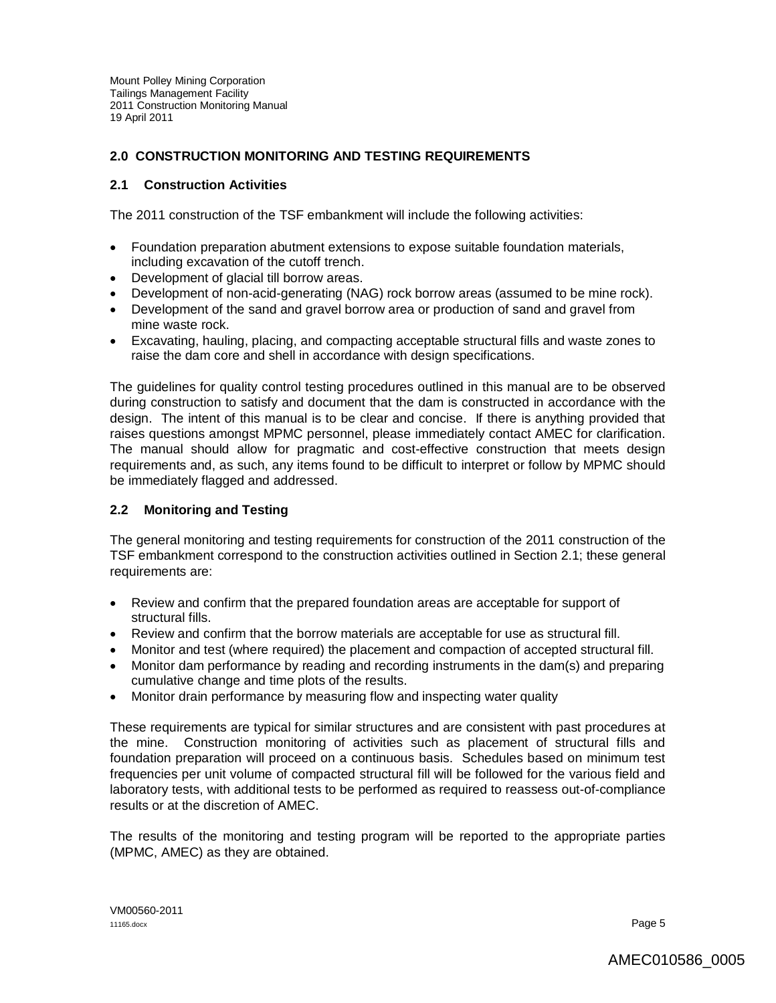## **2.0 CONSTRUCTION MONITORING AND TESTING REQUIREMENTS**

#### **2.1 Construction Activities**

The 2011 construction of the TSF embankment will include the following activities:

- Foundation preparation abutment extensions to expose suitable foundation materials, including excavation of the cutoff trench.
- Development of glacial till borrow areas.
- Development of non-acid-generating (NAG) rock borrow areas (assumed to be mine rock).
- Development of the sand and gravel borrow area or production of sand and gravel from mine waste rock.
- Excavating, hauling, placing, and compacting acceptable structural fills and waste zones to raise the dam core and shell in accordance with design specifications.

The guidelines for quality control testing procedures outlined in this manual are to be observed during construction to satisfy and document that the dam is constructed in accordance with the design. The intent of this manual is to be clear and concise. If there is anything provided that raises questions amongst MPMC personnel, please immediately contact AMEC for clarification. The manual should allow for pragmatic and cost-effective construction that meets design requirements and, as such, any items found to be difficult to interpret or follow by MPMC should be immediately flagged and addressed.

# **2.2 Monitoring and Testing**

The general monitoring and testing requirements for construction of the 2011 construction of the TSF embankment correspond to the construction activities outlined in Section 2.1; these general requirements are:

- Review and confirm that the prepared foundation areas are acceptable for support of structural fills.
- Review and confirm that the borrow materials are acceptable for use as structural fill.
- Monitor and test (where required) the placement and compaction of accepted structural fill.
- Monitor dam performance by reading and recording instruments in the dam(s) and preparing cumulative change and time plots of the results.
- Monitor drain performance by measuring flow and inspecting water quality

These requirements are typical for similar structures and are consistent with past procedures at the mine. Construction monitoring of activities such as placement of structural fills and foundation preparation will proceed on a continuous basis. Schedules based on minimum test frequencies per unit volume of compacted structural fill will be followed for the various field and laboratory tests, with additional tests to be performed as required to reassess out-of-compliance results or at the discretion of AMEC.

The results of the monitoring and testing program will be reported to the appropriate parties (MPMC, AMEC) as they are obtained.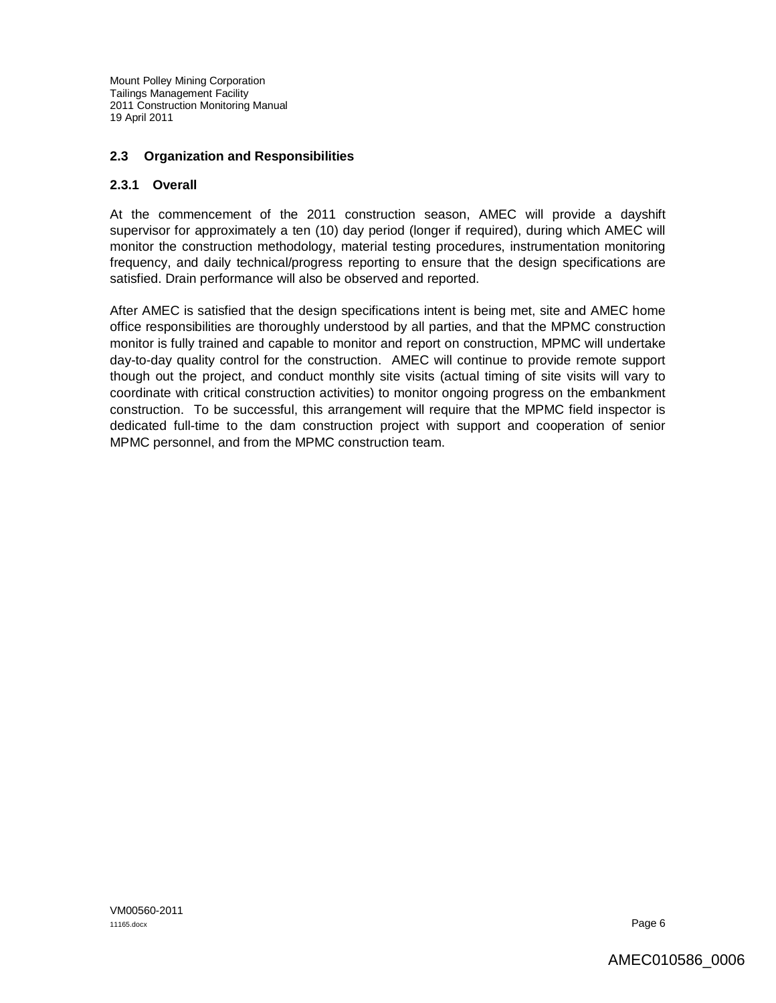#### **2.3 Organization and Responsibilities**

#### **2.3.1 Overall**

At the commencement of the 2011 construction season, AMEC will provide a dayshift supervisor for approximately a ten (10) day period (longer if required), during which AMEC will monitor the construction methodology, material testing procedures, instrumentation monitoring frequency, and daily technical/progress reporting to ensure that the design specifications are satisfied. Drain performance will also be observed and reported.

After AMEC is satisfied that the design specifications intent is being met, site and AMEC home office responsibilities are thoroughly understood by all parties, and that the MPMC construction monitor is fully trained and capable to monitor and report on construction, MPMC will undertake day-to-day quality control for the construction. AMEC will continue to provide remote support though out the project, and conduct monthly site visits (actual timing of site visits will vary to coordinate with critical construction activities) to monitor ongoing progress on the embankment construction. To be successful, this arrangement will require that the MPMC field inspector is dedicated full-time to the dam construction project with support and cooperation of senior MPMC personnel, and from the MPMC construction team.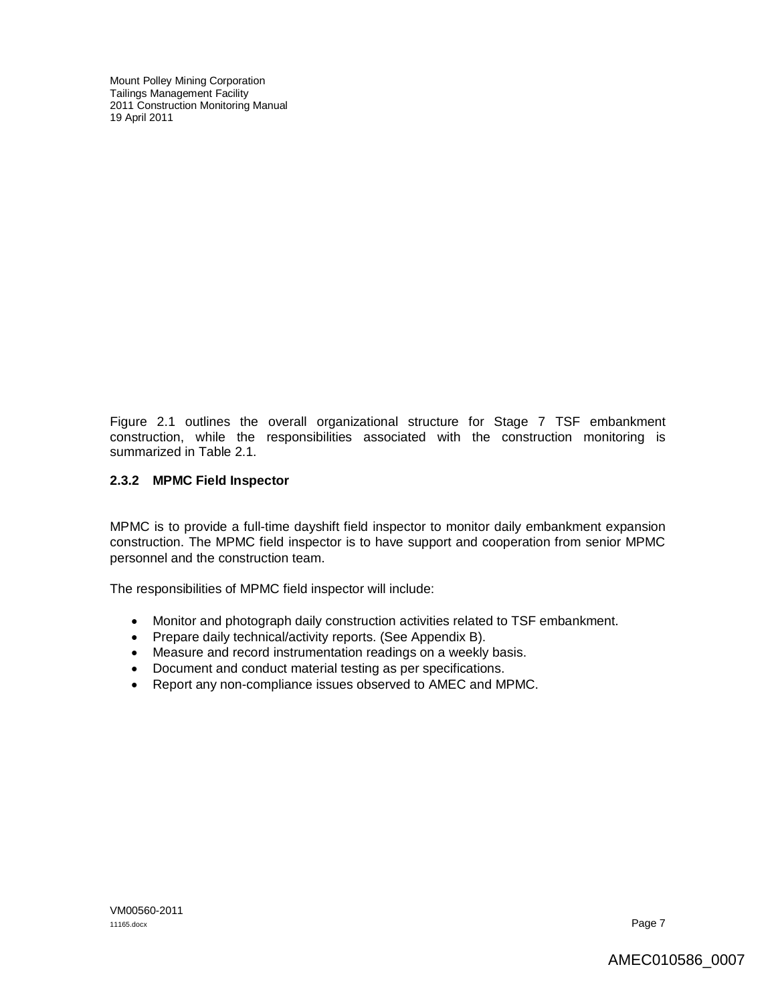Figure 2.1 outlines the overall organizational structure for Stage 7 TSF embankment construction, while the responsibilities associated with the construction monitoring is summarized in Table 2.1.

# **2.3.2 MPMC Field Inspector**

MPMC is to provide a full-time dayshift field inspector to monitor daily embankment expansion construction. The MPMC field inspector is to have support and cooperation from senior MPMC personnel and the construction team.

The responsibilities of MPMC field inspector will include:

- Monitor and photograph daily construction activities related to TSF embankment.
- Prepare daily technical/activity reports. (See Appendix B).
- Measure and record instrumentation readings on a weekly basis.
- Document and conduct material testing as per specifications.
- Report any non-compliance issues observed to AMEC and MPMC.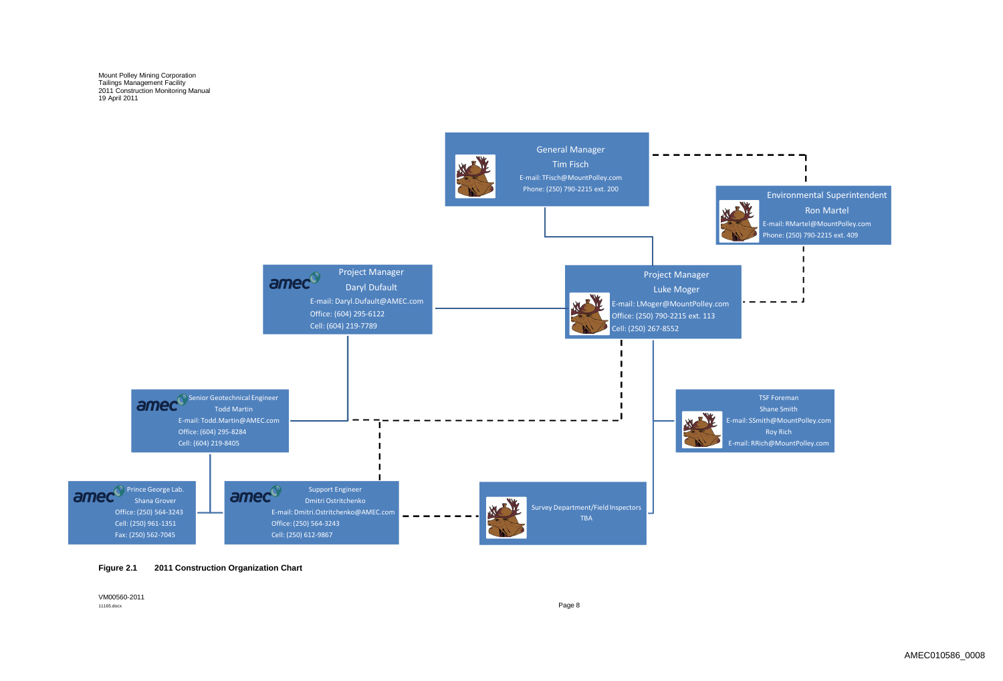VM00560-2011 11165.docx Page 8





# Environmental Superintendent

Ron Martel E-mail: RMartel@MountPolley.com Phone: (250) 790-2215 ext. 409

 $\blacksquare$ 

TSF Foreman Shane Smith E-mail: SSmith@MountPolley.com Roy Rich E-mail: RRich@MountPolley.com

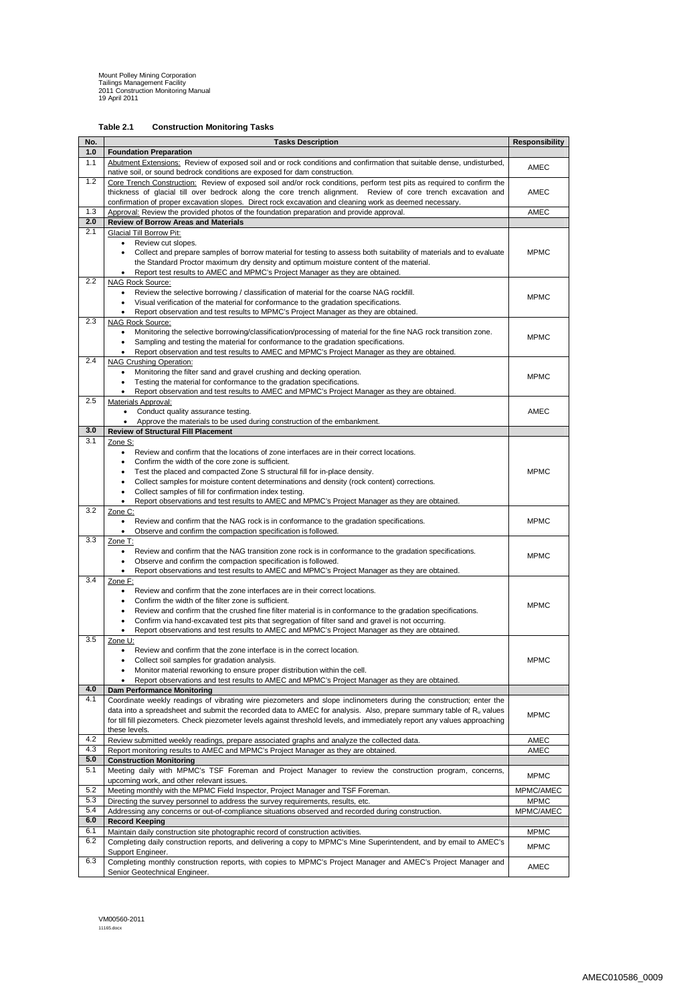VM00560-2011 11165.docx

# **Table 2.1 Construction Monitoring Tasks**

| No.        | <b>Tasks Description</b>                                                                                                                                                                                                                             | <b>Responsibility</b> |
|------------|------------------------------------------------------------------------------------------------------------------------------------------------------------------------------------------------------------------------------------------------------|-----------------------|
| 1.0        | <b>Foundation Preparation</b>                                                                                                                                                                                                                        |                       |
| 1.1        | Abutment Extensions: Review of exposed soil and or rock conditions and confirmation that suitable dense, undisturbed,                                                                                                                                | <b>AMEC</b>           |
| 1.2        | native soil, or sound bedrock conditions are exposed for dam construction.<br>Core Trench Construction: Review of exposed soil and/or rock conditions, perform test pits as required to confirm the                                                  |                       |
|            | thickness of glacial till over bedrock along the core trench alignment. Review of core trench excavation and                                                                                                                                         | <b>AMEC</b>           |
|            | confirmation of proper excavation slopes. Direct rock excavation and cleaning work as deemed necessary.                                                                                                                                              |                       |
| 1.3        | Approval: Review the provided photos of the foundation preparation and provide approval.                                                                                                                                                             | <b>AMEC</b>           |
| 2.0<br>2.1 | <b>Review of Borrow Areas and Materials</b>                                                                                                                                                                                                          |                       |
|            | <b>Glacial Till Borrow Pit:</b><br>Review cut slopes.<br>٠                                                                                                                                                                                           |                       |
|            | Collect and prepare samples of borrow material for testing to assess both suitability of materials and to evaluate<br>$\bullet$                                                                                                                      | <b>MPMC</b>           |
|            | the Standard Proctor maximum dry density and optimum moisture content of the material.                                                                                                                                                               |                       |
|            | Report test results to AMEC and MPMC's Project Manager as they are obtained.                                                                                                                                                                         |                       |
| 2.2        | <b>NAG Rock Source:</b>                                                                                                                                                                                                                              |                       |
|            | Review the selective borrowing / classification of material for the coarse NAG rockfill.<br>$\bullet$<br>Visual verification of the material for conformance to the gradation specifications.                                                        | <b>MPMC</b>           |
|            | Report observation and test results to MPMC's Project Manager as they are obtained.                                                                                                                                                                  |                       |
| 2.3        | <b>NAG Rock Source:</b>                                                                                                                                                                                                                              |                       |
|            | Monitoring the selective borrowing/classification/processing of material for the fine NAG rock transition zone.                                                                                                                                      | <b>MPMC</b>           |
|            | Sampling and testing the material for conformance to the gradation specifications.<br>Report observation and test results to AMEC and MPMC's Project Manager as they are obtained.                                                                   |                       |
| 2.4        | <b>NAG Crushing Operation:</b>                                                                                                                                                                                                                       |                       |
|            | Monitoring the filter sand and gravel crushing and decking operation.                                                                                                                                                                                | <b>MPMC</b>           |
|            | Testing the material for conformance to the gradation specifications.                                                                                                                                                                                |                       |
| 2.5        | Report observation and test results to AMEC and MPMC's Project Manager as they are obtained.                                                                                                                                                         |                       |
|            | Materials Approval:<br>Conduct quality assurance testing.<br>$\bullet$                                                                                                                                                                               | <b>AMEC</b>           |
|            | Approve the materials to be used during construction of the embankment.                                                                                                                                                                              |                       |
| 3.0        | <b>Review of Structural Fill Placement</b>                                                                                                                                                                                                           |                       |
| 3.1        | Zone S:                                                                                                                                                                                                                                              |                       |
|            | Review and confirm that the locations of zone interfaces are in their correct locations.<br>Confirm the width of the core zone is sufficient.                                                                                                        |                       |
|            | Test the placed and compacted Zone S structural fill for in-place density.                                                                                                                                                                           | <b>MPMC</b>           |
|            | Collect samples for moisture content determinations and density (rock content) corrections.<br>٠                                                                                                                                                     |                       |
|            | Collect samples of fill for confirmation index testing.<br>٠                                                                                                                                                                                         |                       |
| 3.2        | Report observations and test results to AMEC and MPMC's Project Manager as they are obtained.<br>$\bullet$<br>Zone C:                                                                                                                                |                       |
|            | Review and confirm that the NAG rock is in conformance to the gradation specifications.<br>$\bullet$                                                                                                                                                 | <b>MPMC</b>           |
|            | Observe and confirm the compaction specification is followed.                                                                                                                                                                                        |                       |
| 3.3        | Zone T:                                                                                                                                                                                                                                              |                       |
|            | Review and confirm that the NAG transition zone rock is in conformance to the gradation specifications.<br>$\bullet$<br>Observe and confirm the compaction specification is followed.                                                                | <b>MPMC</b>           |
|            | Report observations and test results to AMEC and MPMC's Project Manager as they are obtained.<br>$\bullet$                                                                                                                                           |                       |
| 3.4        | Zone F:                                                                                                                                                                                                                                              |                       |
|            | Review and confirm that the zone interfaces are in their correct locations.<br>$\bullet$                                                                                                                                                             |                       |
|            | Confirm the width of the filter zone is sufficient.                                                                                                                                                                                                  | <b>MPMC</b>           |
|            | Review and confirm that the crushed fine filter material is in conformance to the gradation specifications.<br>Confirm via hand-excavated test pits that segregation of filter sand and gravel is not occurring.<br>$\bullet$                        |                       |
|            | Report observations and test results to AMEC and MPMC's Project Manager as they are obtained.<br>$\bullet$                                                                                                                                           |                       |
| 3.5        | Zone U:                                                                                                                                                                                                                                              |                       |
|            | Review and confirm that the zone interface is in the correct location.                                                                                                                                                                               |                       |
|            | Collect soil samples for gradation analysis.<br>$\bullet$<br>Monitor material reworking to ensure proper distribution within the cell.<br>$\bullet$                                                                                                  | <b>MPMC</b>           |
|            | Report observations and test results to AMEC and MPMC's Project Manager as they are obtained.                                                                                                                                                        |                       |
| 4.0        | <b>Dam Performance Monitoring</b>                                                                                                                                                                                                                    |                       |
| 4.1        | Coordinate weekly readings of vibrating wire piezometers and slope inclinometers during the construction; enter the                                                                                                                                  |                       |
|            | data into a spreadsheet and submit the recorded data to AMEC for analysis. Also, prepare summary table of $R_u$ values<br>for till fill piezometers. Check piezometer levels against threshold levels, and immediately report any values approaching | <b>MPMC</b>           |
|            | these levels.                                                                                                                                                                                                                                        |                       |
| 4.2        | Review submitted weekly readings, prepare associated graphs and analyze the collected data.                                                                                                                                                          | <b>AMEC</b>           |
| 4.3        | Report monitoring results to AMEC and MPMC's Project Manager as they are obtained.                                                                                                                                                                   | <b>AMEC</b>           |
| 5.0<br>5.1 | <b>Construction Monitoring</b>                                                                                                                                                                                                                       |                       |
|            | Meeting daily with MPMC's TSF Foreman and Project Manager to review the construction program, concerns,<br>upcoming work, and other relevant issues.                                                                                                 | <b>MPMC</b>           |
| 5.2        | Meeting monthly with the MPMC Field Inspector, Project Manager and TSF Foreman.                                                                                                                                                                      | MPMC/AMEC             |
| 5.3        | Directing the survey personnel to address the survey requirements, results, etc.                                                                                                                                                                     | <b>MPMC</b>           |
| 5.4        | Addressing any concerns or out-of-compliance situations observed and recorded during construction.                                                                                                                                                   | MPMC/AMEC             |
| 6.0<br>6.1 | <b>Record Keeping</b>                                                                                                                                                                                                                                |                       |
| 6.2        | Maintain daily construction site photographic record of construction activities.<br>Completing daily construction reports, and delivering a copy to MPMC's Mine Superintendent, and by email to AMEC's                                               | <b>MPMC</b>           |
|            | Support Engineer.                                                                                                                                                                                                                                    | <b>MPMC</b>           |
| 6.3        | Completing monthly construction reports, with copies to MPMC's Project Manager and AMEC's Project Manager and                                                                                                                                        | AMEC                  |
|            | Senior Geotechnical Engineer.                                                                                                                                                                                                                        |                       |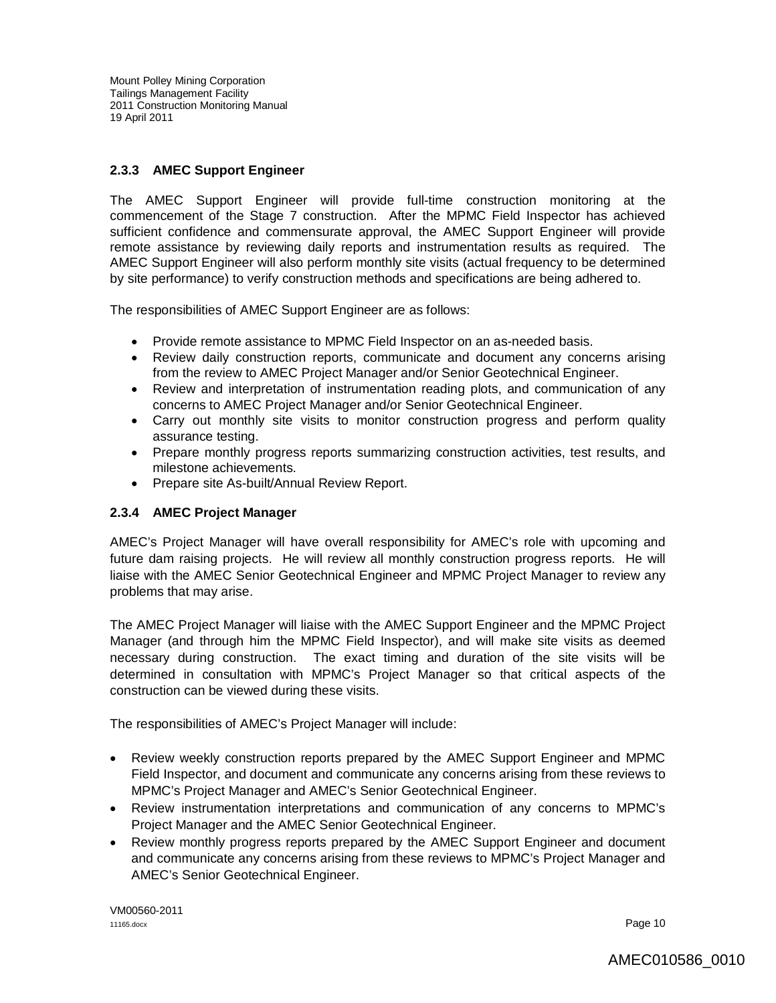# **2.3.3 AMEC Support Engineer**

The AMEC Support Engineer will provide full-time construction monitoring at the commencement of the Stage 7 construction. After the MPMC Field Inspector has achieved sufficient confidence and commensurate approval, the AMEC Support Engineer will provide remote assistance by reviewing daily reports and instrumentation results as required. The AMEC Support Engineer will also perform monthly site visits (actual frequency to be determined by site performance) to verify construction methods and specifications are being adhered to.

The responsibilities of AMEC Support Engineer are as follows:

- Provide remote assistance to MPMC Field Inspector on an as-needed basis.
- Review daily construction reports, communicate and document any concerns arising from the review to AMEC Project Manager and/or Senior Geotechnical Engineer.
- Review and interpretation of instrumentation reading plots, and communication of any concerns to AMEC Project Manager and/or Senior Geotechnical Engineer.
- Carry out monthly site visits to monitor construction progress and perform quality assurance testing.
- Prepare monthly progress reports summarizing construction activities, test results, and milestone achievements.
- Prepare site As-built/Annual Review Report.

# **2.3.4 AMEC Project Manager**

AMEC's Project Manager will have overall responsibility for AMEC's role with upcoming and future dam raising projects. He will review all monthly construction progress reports. He will liaise with the AMEC Senior Geotechnical Engineer and MPMC Project Manager to review any problems that may arise.

The AMEC Project Manager will liaise with the AMEC Support Engineer and the MPMC Project Manager (and through him the MPMC Field Inspector), and will make site visits as deemed necessary during construction. The exact timing and duration of the site visits will be determined in consultation with MPMC's Project Manager so that critical aspects of the construction can be viewed during these visits.

The responsibilities of AMEC's Project Manager will include:

- Review weekly construction reports prepared by the AMEC Support Engineer and MPMC Field Inspector, and document and communicate any concerns arising from these reviews to MPMC's Project Manager and AMEC's Senior Geotechnical Engineer.
- Review instrumentation interpretations and communication of any concerns to MPMC's Project Manager and the AMEC Senior Geotechnical Engineer.
- Review monthly progress reports prepared by the AMEC Support Engineer and document and communicate any concerns arising from these reviews to MPMC's Project Manager and AMEC's Senior Geotechnical Engineer.

VM00560-2011 11165.docx **Page 10**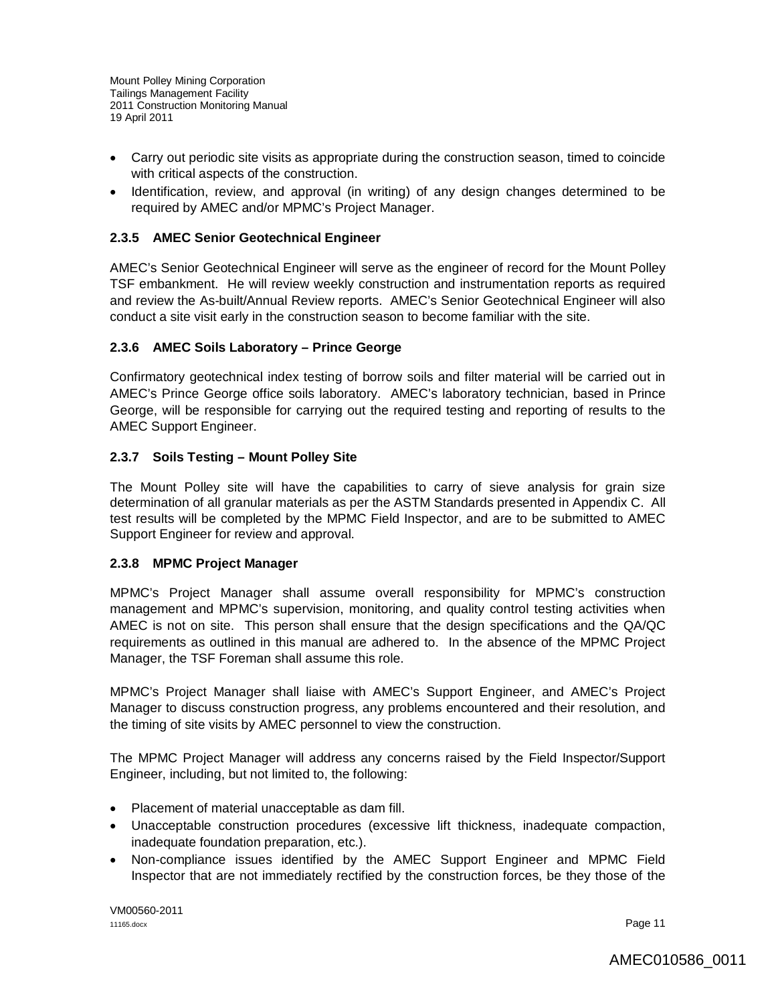- Carry out periodic site visits as appropriate during the construction season, timed to coincide with critical aspects of the construction.
- Identification, review, and approval (in writing) of any design changes determined to be required by AMEC and/or MPMC's Project Manager.

# **2.3.5 AMEC Senior Geotechnical Engineer**

AMEC's Senior Geotechnical Engineer will serve as the engineer of record for the Mount Polley TSF embankment. He will review weekly construction and instrumentation reports as required and review the As-built/Annual Review reports. AMEC's Senior Geotechnical Engineer will also conduct a site visit early in the construction season to become familiar with the site.

# **2.3.6 AMEC Soils Laboratory – Prince George**

Confirmatory geotechnical index testing of borrow soils and filter material will be carried out in AMEC's Prince George office soils laboratory. AMEC's laboratory technician, based in Prince George, will be responsible for carrying out the required testing and reporting of results to the AMEC Support Engineer.

#### **2.3.7 Soils Testing – Mount Polley Site**

The Mount Polley site will have the capabilities to carry of sieve analysis for grain size determination of all granular materials as per the ASTM Standards presented in Appendix C. All test results will be completed by the MPMC Field Inspector, and are to be submitted to AMEC Support Engineer for review and approval.

#### **2.3.8 MPMC Project Manager**

MPMC's Project Manager shall assume overall responsibility for MPMC's construction management and MPMC's supervision, monitoring, and quality control testing activities when AMEC is not on site. This person shall ensure that the design specifications and the QA/QC requirements as outlined in this manual are adhered to. In the absence of the MPMC Project Manager, the TSF Foreman shall assume this role.

MPMC's Project Manager shall liaise with AMEC's Support Engineer, and AMEC's Project Manager to discuss construction progress, any problems encountered and their resolution, and the timing of site visits by AMEC personnel to view the construction.

The MPMC Project Manager will address any concerns raised by the Field Inspector/Support Engineer, including, but not limited to, the following:

- Placement of material unacceptable as dam fill.
- Unacceptable construction procedures (excessive lift thickness, inadequate compaction, inadequate foundation preparation, etc.).
- Non-compliance issues identified by the AMEC Support Engineer and MPMC Field Inspector that are not immediately rectified by the construction forces, be they those of the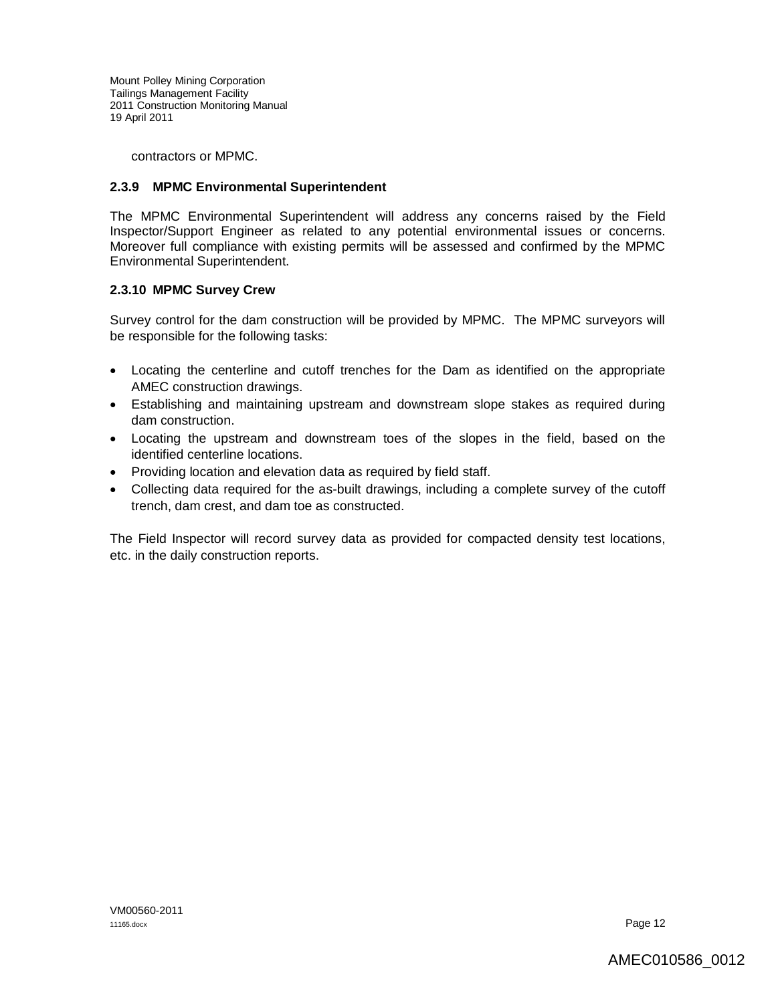contractors or MPMC.

#### **2.3.9 MPMC Environmental Superintendent**

The MPMC Environmental Superintendent will address any concerns raised by the Field Inspector/Support Engineer as related to any potential environmental issues or concerns. Moreover full compliance with existing permits will be assessed and confirmed by the MPMC Environmental Superintendent.

#### **2.3.10 MPMC Survey Crew**

Survey control for the dam construction will be provided by MPMC. The MPMC surveyors will be responsible for the following tasks:

- Locating the centerline and cutoff trenches for the Dam as identified on the appropriate AMEC construction drawings.
- Establishing and maintaining upstream and downstream slope stakes as required during dam construction.
- Locating the upstream and downstream toes of the slopes in the field, based on the identified centerline locations.
- Providing location and elevation data as required by field staff.
- Collecting data required for the as-built drawings, including a complete survey of the cutoff trench, dam crest, and dam toe as constructed.

The Field Inspector will record survey data as provided for compacted density test locations, etc. in the daily construction reports.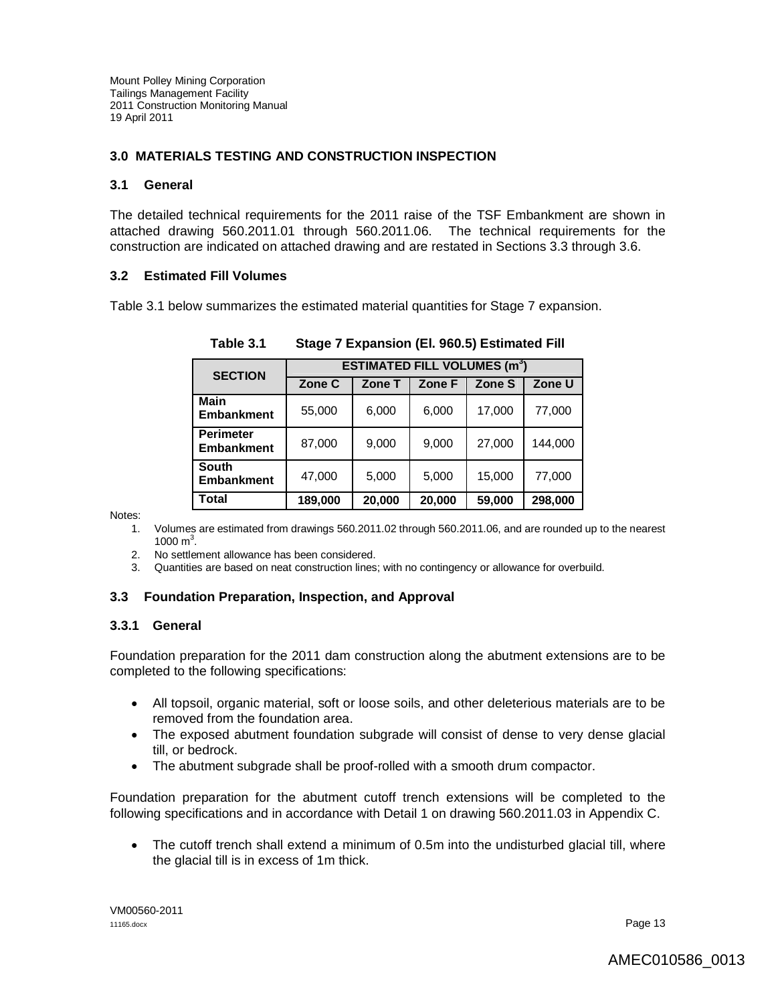#### **3.0 MATERIALS TESTING AND CONSTRUCTION INSPECTION**

#### **3.1 General**

The detailed technical requirements for the 2011 raise of the TSF Embankment are shown in attached drawing 560.2011.01 through 560.2011.06. The technical requirements for the construction are indicated on attached drawing and are restated in Sections 3.3 through 3.6.

#### **3.2 Estimated Fill Volumes**

Table 3.1 below summarizes the estimated material quantities for Stage 7 expansion.

| <b>SECTION</b>                        | <b>ESTIMATED FILL VOLUMES (m<sup>3</sup>)</b> |        |        |        |         |
|---------------------------------------|-----------------------------------------------|--------|--------|--------|---------|
|                                       | Zone C                                        | Zone T | Zone F | Zone S | Zone U  |
| <b>Main</b><br><b>Embankment</b>      | 55,000                                        | 6,000  | 6,000  | 17,000 | 77,000  |
| <b>Perimeter</b><br><b>Embankment</b> | 87,000                                        | 9,000  | 9,000  | 27,000 | 144,000 |
| <b>South</b><br><b>Embankment</b>     | 47,000                                        | 5,000  | 5,000  | 15,000 | 77,000  |
| <b>Total</b>                          | 189,000                                       | 20,000 | 20,000 | 59,000 | 298,000 |

**Table 3.1 Stage 7 Expansion (El. 960.5) Estimated Fill**

Notes:

1. Volumes are estimated from drawings 560.2011.02 through 560.2011.06, and are rounded up to the nearest 1000 $\, \text{m}^3$ .

2. No settlement allowance has been considered.

3. Quantities are based on neat construction lines; with no contingency or allowance for overbuild.

#### **3.3 Foundation Preparation, Inspection, and Approval**

#### **3.3.1 General**

Foundation preparation for the 2011 dam construction along the abutment extensions are to be completed to the following specifications:

- All topsoil, organic material, soft or loose soils, and other deleterious materials are to be removed from the foundation area.
- The exposed abutment foundation subgrade will consist of dense to very dense glacial till, or bedrock.
- The abutment subgrade shall be proof-rolled with a smooth drum compactor.

Foundation preparation for the abutment cutoff trench extensions will be completed to the following specifications and in accordance with Detail 1 on drawing 560.2011.03 in Appendix C.

 The cutoff trench shall extend a minimum of 0.5m into the undisturbed glacial till, where the glacial till is in excess of 1m thick.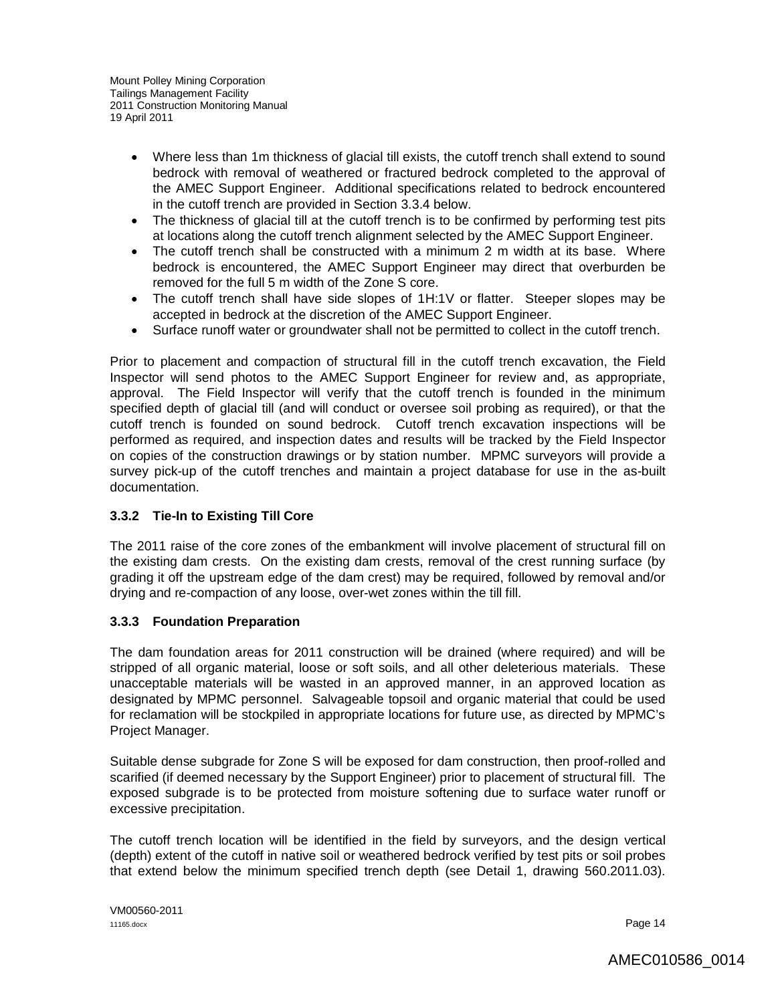- Where less than 1m thickness of glacial till exists, the cutoff trench shall extend to sound bedrock with removal of weathered or fractured bedrock completed to the approval of the AMEC Support Engineer. Additional specifications related to bedrock encountered in the cutoff trench are provided in Section 3.3.4 below.
- The thickness of glacial till at the cutoff trench is to be confirmed by performing test pits at locations along the cutoff trench alignment selected by the AMEC Support Engineer.
- The cutoff trench shall be constructed with a minimum 2 m width at its base. Where bedrock is encountered, the AMEC Support Engineer may direct that overburden be removed for the full 5 m width of the Zone S core.
- The cutoff trench shall have side slopes of 1H:1V or flatter. Steeper slopes may be accepted in bedrock at the discretion of the AMEC Support Engineer.
- Surface runoff water or groundwater shall not be permitted to collect in the cutoff trench.

Prior to placement and compaction of structural fill in the cutoff trench excavation, the Field Inspector will send photos to the AMEC Support Engineer for review and, as appropriate, approval. The Field Inspector will verify that the cutoff trench is founded in the minimum specified depth of glacial till (and will conduct or oversee soil probing as required), or that the cutoff trench is founded on sound bedrock. Cutoff trench excavation inspections will be performed as required, and inspection dates and results will be tracked by the Field Inspector on copies of the construction drawings or by station number. MPMC surveyors will provide a survey pick-up of the cutoff trenches and maintain a project database for use in the as-built documentation.

# **3.3.2 Tie-In to Existing Till Core**

The 2011 raise of the core zones of the embankment will involve placement of structural fill on the existing dam crests. On the existing dam crests, removal of the crest running surface (by grading it off the upstream edge of the dam crest) may be required, followed by removal and/or drying and re-compaction of any loose, over-wet zones within the till fill.

# **3.3.3 Foundation Preparation**

The dam foundation areas for 2011 construction will be drained (where required) and will be stripped of all organic material, loose or soft soils, and all other deleterious materials. These unacceptable materials will be wasted in an approved manner, in an approved location as designated by MPMC personnel. Salvageable topsoil and organic material that could be used for reclamation will be stockpiled in appropriate locations for future use, as directed by MPMC's Project Manager.

Suitable dense subgrade for Zone S will be exposed for dam construction, then proof-rolled and scarified (if deemed necessary by the Support Engineer) prior to placement of structural fill. The exposed subgrade is to be protected from moisture softening due to surface water runoff or excessive precipitation.

The cutoff trench location will be identified in the field by surveyors, and the design vertical (depth) extent of the cutoff in native soil or weathered bedrock verified by test pits or soil probes that extend below the minimum specified trench depth (see Detail 1, drawing 560.2011.03).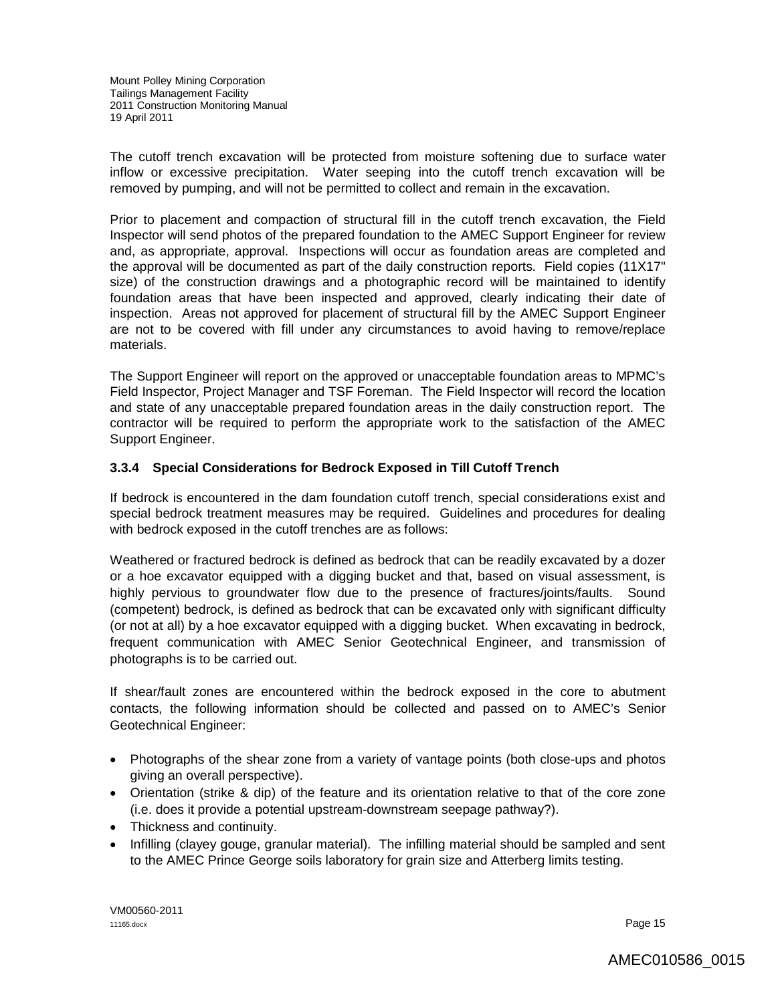The cutoff trench excavation will be protected from moisture softening due to surface water inflow or excessive precipitation. Water seeping into the cutoff trench excavation will be removed by pumping, and will not be permitted to collect and remain in the excavation.

Prior to placement and compaction of structural fill in the cutoff trench excavation, the Field Inspector will send photos of the prepared foundation to the AMEC Support Engineer for review and, as appropriate, approval. Inspections will occur as foundation areas are completed and the approval will be documented as part of the daily construction reports. Field copies (11X17" size) of the construction drawings and a photographic record will be maintained to identify foundation areas that have been inspected and approved, clearly indicating their date of inspection. Areas not approved for placement of structural fill by the AMEC Support Engineer are not to be covered with fill under any circumstances to avoid having to remove/replace materials.

The Support Engineer will report on the approved or unacceptable foundation areas to MPMC's Field Inspector, Project Manager and TSF Foreman. The Field Inspector will record the location and state of any unacceptable prepared foundation areas in the daily construction report. The contractor will be required to perform the appropriate work to the satisfaction of the AMEC Support Engineer.

# **3.3.4 Special Considerations for Bedrock Exposed in Till Cutoff Trench**

If bedrock is encountered in the dam foundation cutoff trench, special considerations exist and special bedrock treatment measures may be required. Guidelines and procedures for dealing with bedrock exposed in the cutoff trenches are as follows:

Weathered or fractured bedrock is defined as bedrock that can be readily excavated by a dozer or a hoe excavator equipped with a digging bucket and that, based on visual assessment, is highly pervious to groundwater flow due to the presence of fractures/joints/faults. Sound (competent) bedrock, is defined as bedrock that can be excavated only with significant difficulty (or not at all) by a hoe excavator equipped with a digging bucket. When excavating in bedrock, frequent communication with AMEC Senior Geotechnical Engineer, and transmission of photographs is to be carried out.

If shear/fault zones are encountered within the bedrock exposed in the core to abutment contacts, the following information should be collected and passed on to AMEC's Senior Geotechnical Engineer:

- Photographs of the shear zone from a variety of vantage points (both close-ups and photos giving an overall perspective).
- Orientation (strike & dip) of the feature and its orientation relative to that of the core zone (i.e. does it provide a potential upstream-downstream seepage pathway?).
- Thickness and continuity.
- Infilling (clayey gouge, granular material). The infilling material should be sampled and sent to the AMEC Prince George soils laboratory for grain size and Atterberg limits testing.

VM00560-2011 11165.docx **Page 15**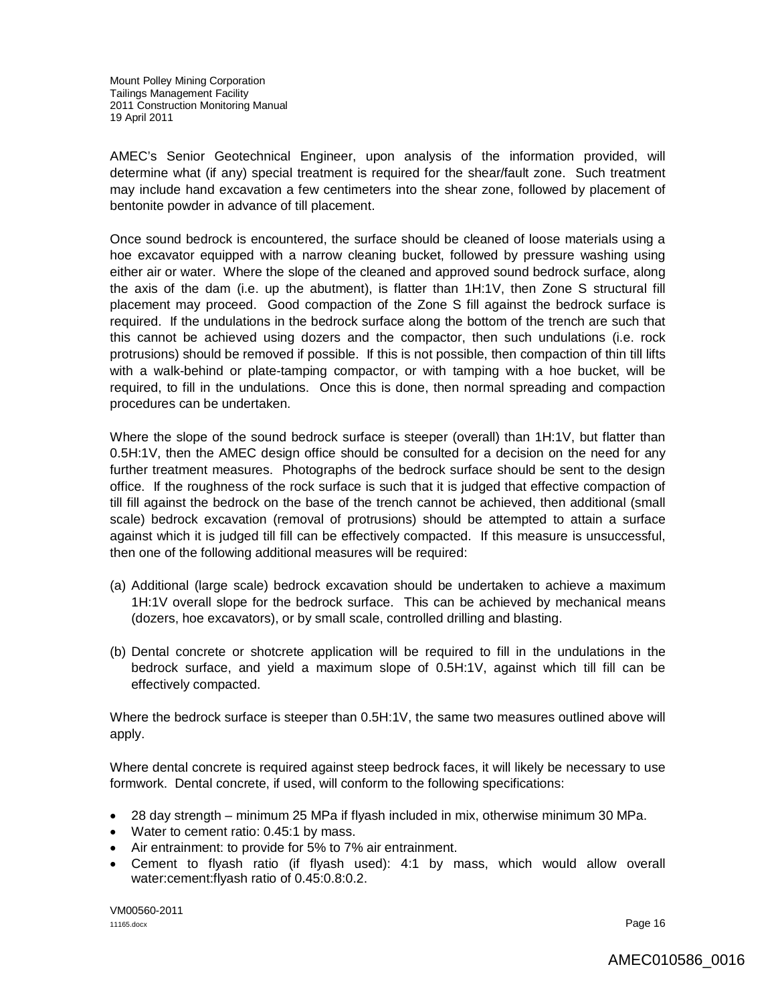AMEC's Senior Geotechnical Engineer, upon analysis of the information provided, will determine what (if any) special treatment is required for the shear/fault zone. Such treatment may include hand excavation a few centimeters into the shear zone, followed by placement of bentonite powder in advance of till placement.

Once sound bedrock is encountered, the surface should be cleaned of loose materials using a hoe excavator equipped with a narrow cleaning bucket, followed by pressure washing using either air or water. Where the slope of the cleaned and approved sound bedrock surface, along the axis of the dam (i.e. up the abutment), is flatter than 1H:1V, then Zone S structural fill placement may proceed. Good compaction of the Zone S fill against the bedrock surface is required. If the undulations in the bedrock surface along the bottom of the trench are such that this cannot be achieved using dozers and the compactor, then such undulations (i.e. rock protrusions) should be removed if possible. If this is not possible, then compaction of thin till lifts with a walk-behind or plate-tamping compactor, or with tamping with a hoe bucket, will be required, to fill in the undulations. Once this is done, then normal spreading and compaction procedures can be undertaken.

Where the slope of the sound bedrock surface is steeper (overall) than 1H:1V, but flatter than 0.5H:1V, then the AMEC design office should be consulted for a decision on the need for any further treatment measures. Photographs of the bedrock surface should be sent to the design office. If the roughness of the rock surface is such that it is judged that effective compaction of till fill against the bedrock on the base of the trench cannot be achieved, then additional (small scale) bedrock excavation (removal of protrusions) should be attempted to attain a surface against which it is judged till fill can be effectively compacted. If this measure is unsuccessful, then one of the following additional measures will be required:

- (a) Additional (large scale) bedrock excavation should be undertaken to achieve a maximum 1H:1V overall slope for the bedrock surface. This can be achieved by mechanical means (dozers, hoe excavators), or by small scale, controlled drilling and blasting.
- (b) Dental concrete or shotcrete application will be required to fill in the undulations in the bedrock surface, and yield a maximum slope of 0.5H:1V, against which till fill can be effectively compacted.

Where the bedrock surface is steeper than 0.5H:1V, the same two measures outlined above will apply.

Where dental concrete is required against steep bedrock faces, it will likely be necessary to use formwork. Dental concrete, if used, will conform to the following specifications:

- 28 day strength minimum 25 MPa if flyash included in mix, otherwise minimum 30 MPa.
- Water to cement ratio: 0.45:1 by mass.
- Air entrainment: to provide for 5% to 7% air entrainment.
- Cement to flyash ratio (if flyash used): 4:1 by mass, which would allow overall water:cement:flyash ratio of 0.45:0.8:0.2.

VM00560-2011 11165.docx **Page 16**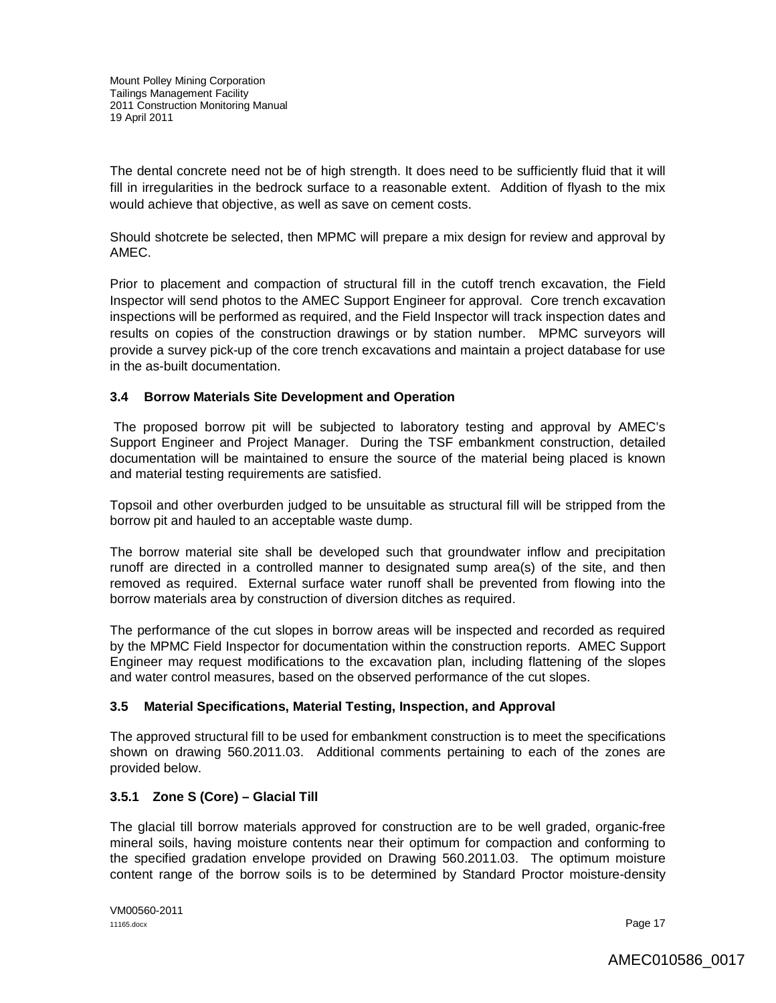The dental concrete need not be of high strength. It does need to be sufficiently fluid that it will fill in irregularities in the bedrock surface to a reasonable extent. Addition of flyash to the mix would achieve that objective, as well as save on cement costs.

Should shotcrete be selected, then MPMC will prepare a mix design for review and approval by AMEC.

Prior to placement and compaction of structural fill in the cutoff trench excavation, the Field Inspector will send photos to the AMEC Support Engineer for approval. Core trench excavation inspections will be performed as required, and the Field Inspector will track inspection dates and results on copies of the construction drawings or by station number. MPMC surveyors will provide a survey pick-up of the core trench excavations and maintain a project database for use in the as-built documentation.

# **3.4 Borrow Materials Site Development and Operation**

The proposed borrow pit will be subjected to laboratory testing and approval by AMEC's Support Engineer and Project Manager. During the TSF embankment construction, detailed documentation will be maintained to ensure the source of the material being placed is known and material testing requirements are satisfied.

Topsoil and other overburden judged to be unsuitable as structural fill will be stripped from the borrow pit and hauled to an acceptable waste dump.

The borrow material site shall be developed such that groundwater inflow and precipitation runoff are directed in a controlled manner to designated sump area(s) of the site, and then removed as required. External surface water runoff shall be prevented from flowing into the borrow materials area by construction of diversion ditches as required.

The performance of the cut slopes in borrow areas will be inspected and recorded as required by the MPMC Field Inspector for documentation within the construction reports. AMEC Support Engineer may request modifications to the excavation plan, including flattening of the slopes and water control measures, based on the observed performance of the cut slopes.

# **3.5 Material Specifications, Material Testing, Inspection, and Approval**

The approved structural fill to be used for embankment construction is to meet the specifications shown on drawing 560.2011.03. Additional comments pertaining to each of the zones are provided below.

# **3.5.1 Zone S (Core) – Glacial Till**

The glacial till borrow materials approved for construction are to be well graded, organic-free mineral soils, having moisture contents near their optimum for compaction and conforming to the specified gradation envelope provided on Drawing 560.2011.03. The optimum moisture content range of the borrow soils is to be determined by Standard Proctor moisture-density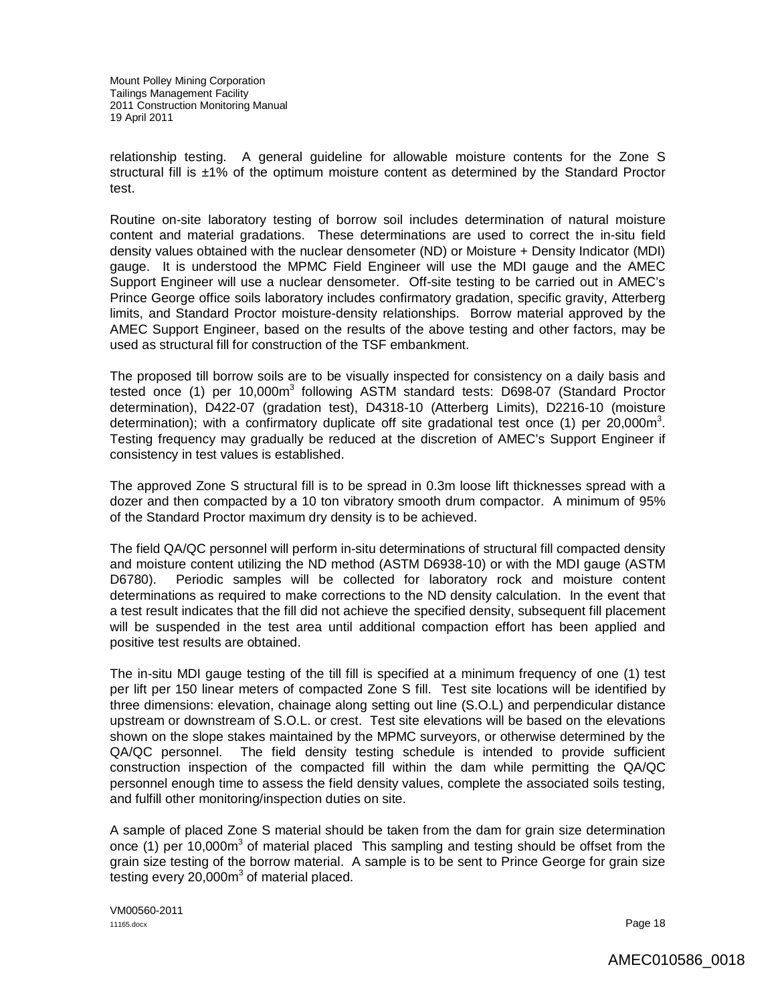relationship testing. A general guideline for allowable moisture contents for the Zone S structural fill is ±1% of the optimum moisture content as determined by the Standard Proctor test.

Routine on-site laboratory testing of borrow soil includes determination of natural moisture content and material gradations. These determinations are used to correct the in-situ field density values obtained with the nuclear densometer (ND) or Moisture + Density Indicator (MDI) gauge. It is understood the MPMC Field Engineer will use the MDI gauge and the AMEC Support Engineer will use a nuclear densometer. Off-site testing to be carried out in AMEC's Prince George office soils laboratory includes confirmatory gradation, specific gravity, Atterberg limits, and Standard Proctor moisture-density relationships. Borrow material approved by the AMEC Support Engineer, based on the results of the above testing and other factors, may be used as structural fill for construction of the TSF embankment.

The proposed till borrow soils are to be visually inspected for consistency on a daily basis and tested once (1) per 10,000m<sup>3</sup> following ASTM standard tests: D698-07 (Standard Proctor determination), D422-07 (gradation test), D4318-10 (Atterberg Limits), D2216-10 (moisture determination); with a confirmatory duplicate off site gradational test once (1) per 20,000m<sup>3</sup>. Testing frequency may gradually be reduced at the discretion of AMEC's Support Engineer if consistency in test values is established.

The approved Zone S structural fill is to be spread in 0.3m loose lift thicknesses spread with a dozer and then compacted by a 10 ton vibratory smooth drum compactor. A minimum of 95% of the Standard Proctor maximum dry density is to be achieved.

The field QA/QC personnel will perform in-situ determinations of structural fill compacted density and moisture content utilizing the ND method (ASTM D6938-10) or with the MDI gauge (ASTM D6780). Periodic samples will be collected for laboratory rock and moisture content determinations as required to make corrections to the ND density calculation. In the event that a test result indicates that the fill did not achieve the specified density, subsequent fill placement will be suspended in the test area until additional compaction effort has been applied and positive test results are obtained.

The in-situ MDI gauge testing of the till fill is specified at a minimum frequency of one (1) test per lift per 150 linear meters of compacted Zone S fill. Test site locations will be identified by three dimensions: elevation, chainage along setting out line (S.O.L) and perpendicular distance upstream or downstream of S.O.L. or crest. Test site elevations will be based on the elevations shown on the slope stakes maintained by the MPMC surveyors, or otherwise determined by the QA/QC personnel. The field density testing schedule is intended to provide sufficient construction inspection of the compacted fill within the dam while permitting the QA/QC personnel enough time to assess the field density values, complete the associated soils testing, and fulfill other monitoring/inspection duties on site.

A sample of placed Zone S material should be taken from the dam for grain size determination once (1) per 10,000 $m<sup>3</sup>$  of material placed This sampling and testing should be offset from the grain size testing of the borrow material. A sample is to be sent to Prince George for grain size testing every 20,000m<sup>3</sup> of material placed.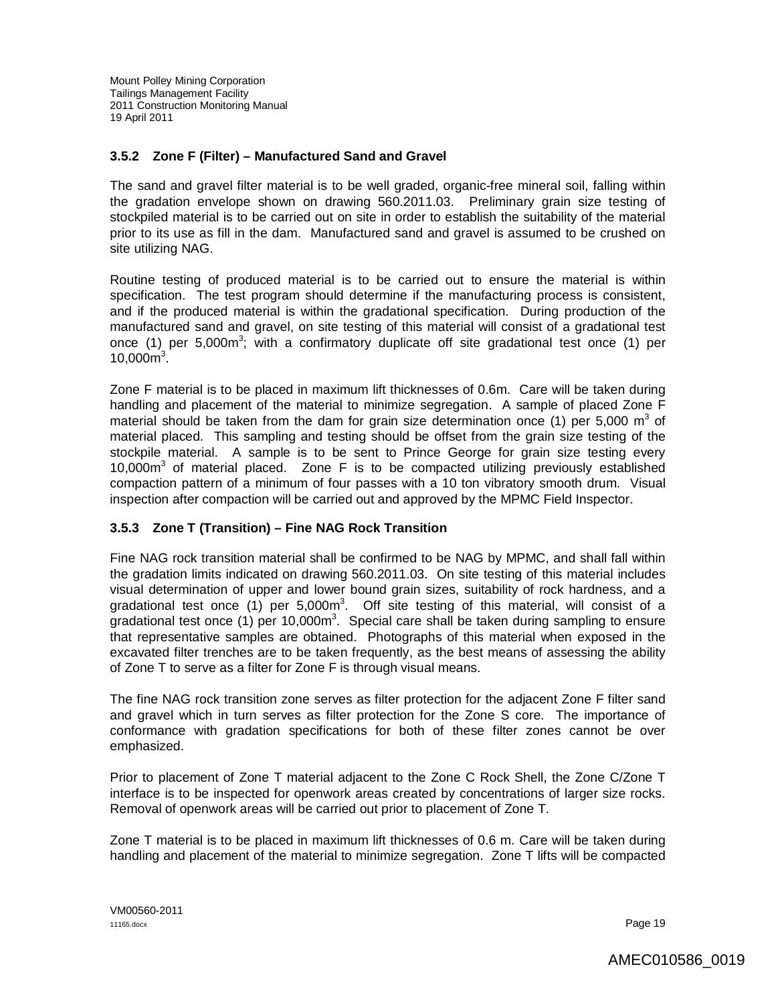#### **3.5.2 Zone F (Filter) – Manufactured Sand and Gravel**

The sand and gravel filter material is to be well graded, organic-free mineral soil, falling within the gradation envelope shown on drawing 560.2011.03. Preliminary grain size testing of stockpiled material is to be carried out on site in order to establish the suitability of the material prior to its use as fill in the dam. Manufactured sand and gravel is assumed to be crushed on site utilizing NAG.

Routine testing of produced material is to be carried out to ensure the material is within specification. The test program should determine if the manufacturing process is consistent, and if the produced material is within the gradational specification. During production of the manufactured sand and gravel, on site testing of this material will consist of a gradational test once (1) per 5,000m<sup>3</sup>; with a confirmatory duplicate off site gradational test once (1) per  $10,000m^3$ .

Zone F material is to be placed in maximum lift thicknesses of 0.6m. Care will be taken during handling and placement of the material to minimize segregation. A sample of placed Zone F material should be taken from the dam for grain size determination once (1) per 5,000  $m^3$  of material placed. This sampling and testing should be offset from the grain size testing of the stockpile material. A sample is to be sent to Prince George for grain size testing every 10,000 $m<sup>3</sup>$  of material placed. Zone F is to be compacted utilizing previously established compaction pattern of a minimum of four passes with a 10 ton vibratory smooth drum. Visual inspection after compaction will be carried out and approved by the MPMC Field Inspector.

#### **3.5.3 Zone T (Transition) – Fine NAG Rock Transition**

Fine NAG rock transition material shall be confirmed to be NAG by MPMC, and shall fall within the gradation limits indicated on drawing 560.2011.03. On site testing of this material includes visual determination of upper and lower bound grain sizes, suitability of rock hardness, and a gradational test once (1) per 5,000m<sup>3</sup>. Off site testing of this material, will consist of a gradational test once (1) per 10,000 $m<sup>3</sup>$ . Special care shall be taken during sampling to ensure that representative samples are obtained. Photographs of this material when exposed in the excavated filter trenches are to be taken frequently, as the best means of assessing the ability of Zone T to serve as a filter for Zone F is through visual means.

The fine NAG rock transition zone serves as filter protection for the adjacent Zone F filter sand and gravel which in turn serves as filter protection for the Zone S core. The importance of conformance with gradation specifications for both of these filter zones cannot be over emphasized.

Prior to placement of Zone T material adjacent to the Zone C Rock Shell, the Zone C/Zone T interface is to be inspected for openwork areas created by concentrations of larger size rocks. Removal of openwork areas will be carried out prior to placement of Zone T.

Zone T material is to be placed in maximum lift thicknesses of 0.6 m. Care will be taken during handling and placement of the material to minimize segregation. Zone T lifts will be compacted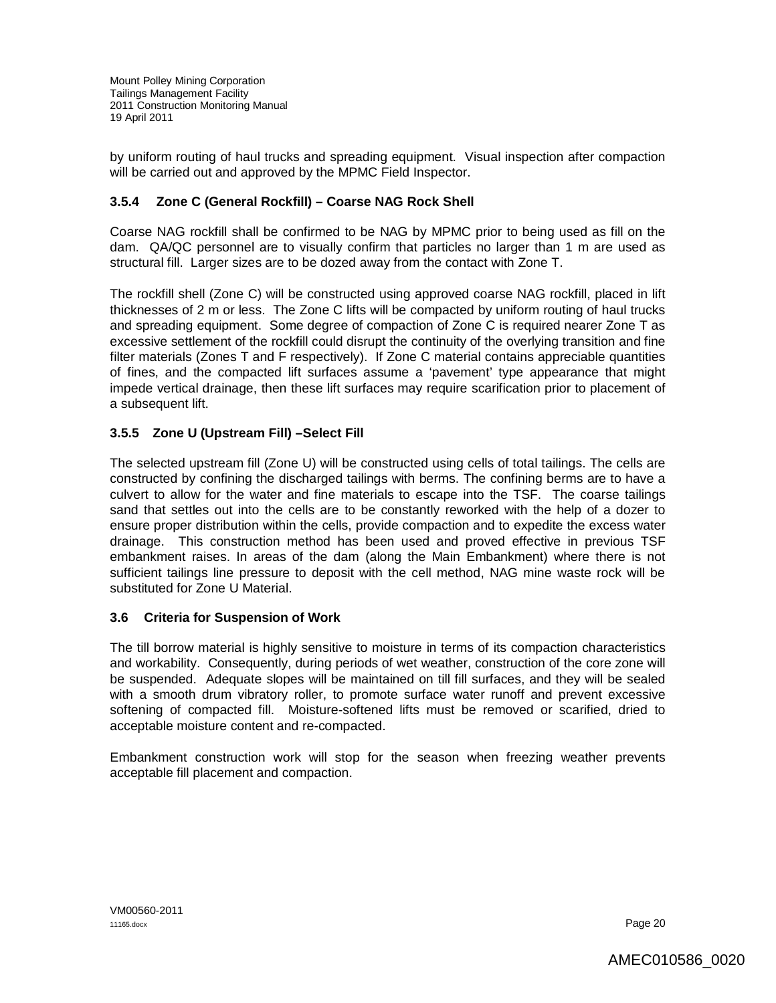by uniform routing of haul trucks and spreading equipment. Visual inspection after compaction will be carried out and approved by the MPMC Field Inspector.

# **3.5.4 Zone C (General Rockfill) – Coarse NAG Rock Shell**

Coarse NAG rockfill shall be confirmed to be NAG by MPMC prior to being used as fill on the dam. QA/QC personnel are to visually confirm that particles no larger than 1 m are used as structural fill. Larger sizes are to be dozed away from the contact with Zone T.

The rockfill shell (Zone C) will be constructed using approved coarse NAG rockfill, placed in lift thicknesses of 2 m or less. The Zone C lifts will be compacted by uniform routing of haul trucks and spreading equipment. Some degree of compaction of Zone C is required nearer Zone T as excessive settlement of the rockfill could disrupt the continuity of the overlying transition and fine filter materials (Zones T and F respectively). If Zone C material contains appreciable quantities of fines, and the compacted lift surfaces assume a 'pavement' type appearance that might impede vertical drainage, then these lift surfaces may require scarification prior to placement of a subsequent lift.

# **3.5.5 Zone U (Upstream Fill) –Select Fill**

The selected upstream fill (Zone U) will be constructed using cells of total tailings. The cells are constructed by confining the discharged tailings with berms. The confining berms are to have a culvert to allow for the water and fine materials to escape into the TSF. The coarse tailings sand that settles out into the cells are to be constantly reworked with the help of a dozer to ensure proper distribution within the cells, provide compaction and to expedite the excess water drainage. This construction method has been used and proved effective in previous TSF embankment raises. In areas of the dam (along the Main Embankment) where there is not sufficient tailings line pressure to deposit with the cell method, NAG mine waste rock will be substituted for Zone U Material.

# **3.6 Criteria for Suspension of Work**

The till borrow material is highly sensitive to moisture in terms of its compaction characteristics and workability. Consequently, during periods of wet weather, construction of the core zone will be suspended. Adequate slopes will be maintained on till fill surfaces, and they will be sealed with a smooth drum vibratory roller, to promote surface water runoff and prevent excessive softening of compacted fill. Moisture-softened lifts must be removed or scarified, dried to acceptable moisture content and re-compacted.

Embankment construction work will stop for the season when freezing weather prevents acceptable fill placement and compaction.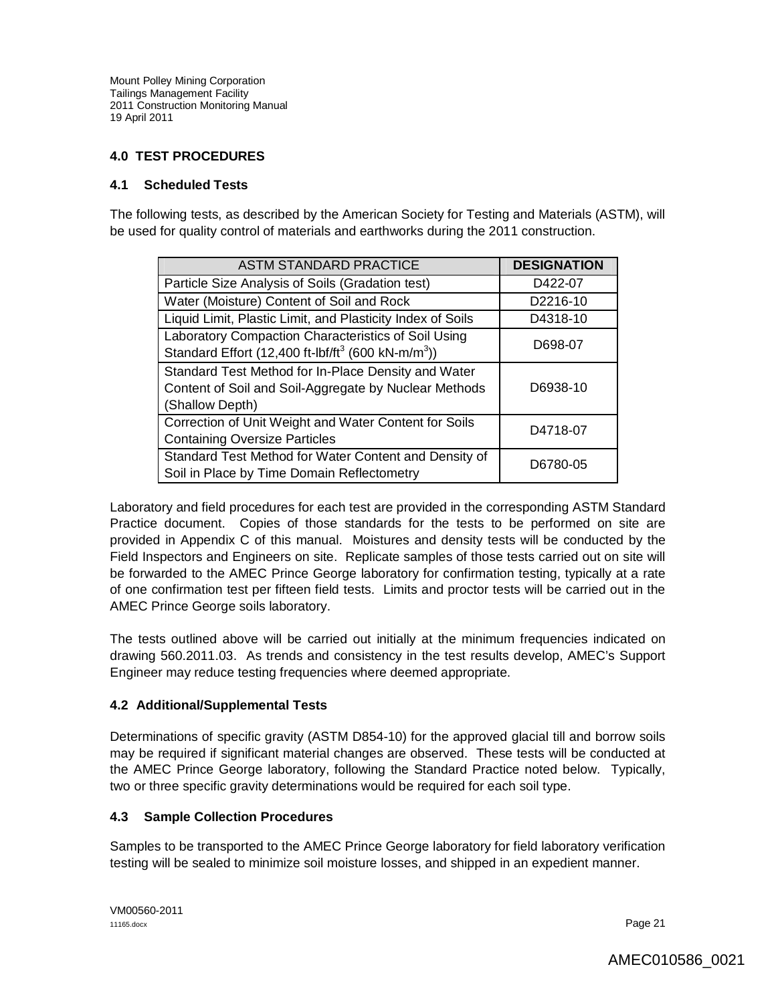# **4.0 TEST PROCEDURES**

# **4.1 Scheduled Tests**

The following tests, as described by the American Society for Testing and Materials (ASTM), will be used for quality control of materials and earthworks during the 2011 construction.

| <b>ASTM STANDARD PRACTICE</b>                                                                                                     | <b>DESIGNATION</b> |
|-----------------------------------------------------------------------------------------------------------------------------------|--------------------|
| Particle Size Analysis of Soils (Gradation test)                                                                                  | D422-07            |
| Water (Moisture) Content of Soil and Rock                                                                                         | D2216-10           |
| Liquid Limit, Plastic Limit, and Plasticity Index of Soils                                                                        | D4318-10           |
| Laboratory Compaction Characteristics of Soil Using<br>Standard Effort (12,400 ft-lbf/ft <sup>3</sup> (600 kN-m/m <sup>3</sup> )) | D698-07            |
| Standard Test Method for In-Place Density and Water<br>Content of Soil and Soil-Aggregate by Nuclear Methods<br>(Shallow Depth)   | D6938-10           |
| Correction of Unit Weight and Water Content for Soils<br><b>Containing Oversize Particles</b>                                     | D4718-07           |
| Standard Test Method for Water Content and Density of<br>Soil in Place by Time Domain Reflectometry                               | D6780-05           |

Laboratory and field procedures for each test are provided in the corresponding ASTM Standard Practice document. Copies of those standards for the tests to be performed on site are provided in Appendix C of this manual. Moistures and density tests will be conducted by the Field Inspectors and Engineers on site. Replicate samples of those tests carried out on site will be forwarded to the AMEC Prince George laboratory for confirmation testing, typically at a rate of one confirmation test per fifteen field tests. Limits and proctor tests will be carried out in the AMEC Prince George soils laboratory.

The tests outlined above will be carried out initially at the minimum frequencies indicated on drawing 560.2011.03. As trends and consistency in the test results develop, AMEC's Support Engineer may reduce testing frequencies where deemed appropriate.

# **4.2 Additional/Supplemental Tests**

Determinations of specific gravity (ASTM D854-10) for the approved glacial till and borrow soils may be required if significant material changes are observed. These tests will be conducted at the AMEC Prince George laboratory, following the Standard Practice noted below. Typically, two or three specific gravity determinations would be required for each soil type.

# **4.3 Sample Collection Procedures**

Samples to be transported to the AMEC Prince George laboratory for field laboratory verification testing will be sealed to minimize soil moisture losses, and shipped in an expedient manner.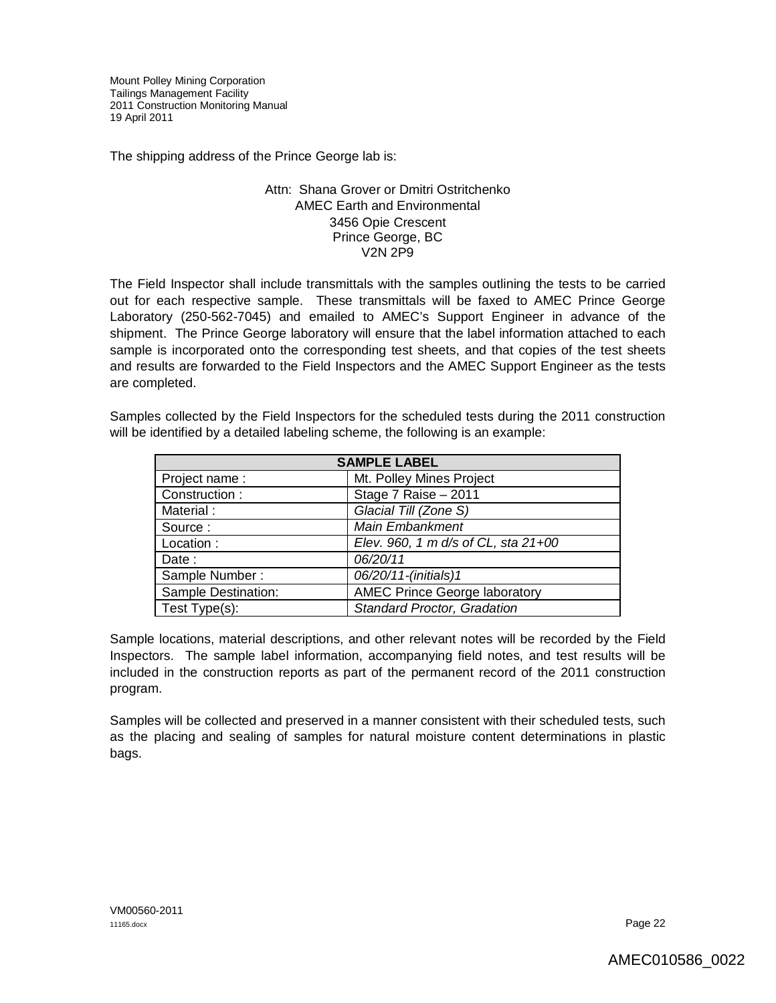The shipping address of the Prince George lab is:

#### Attn: Shana Grover or Dmitri Ostritchenko AMEC Earth and Environmental 3456 Opie Crescent Prince George, BC V2N 2P9

The Field Inspector shall include transmittals with the samples outlining the tests to be carried out for each respective sample. These transmittals will be faxed to AMEC Prince George Laboratory (250-562-7045) and emailed to AMEC's Support Engineer in advance of the shipment. The Prince George laboratory will ensure that the label information attached to each sample is incorporated onto the corresponding test sheets, and that copies of the test sheets and results are forwarded to the Field Inspectors and the AMEC Support Engineer as the tests are completed.

| Samples collected by the Field Inspectors for the scheduled tests during the 2011 construction |  |
|------------------------------------------------------------------------------------------------|--|
| will be identified by a detailed labeling scheme, the following is an example:                 |  |
|                                                                                                |  |

| <b>SAMPLE LABEL</b> |                                      |  |  |
|---------------------|--------------------------------------|--|--|
| Project name:       | Mt. Polley Mines Project             |  |  |
| Construction:       | Stage 7 Raise - 2011                 |  |  |
| Material:           | Glacial Till (Zone S)                |  |  |
| Source:             | <b>Main Embankment</b>               |  |  |
| Location:           | Elev. 960, 1 m d/s of CL, sta 21+00  |  |  |
| Date:               | 06/20/11                             |  |  |
| Sample Number:      | 06/20/11-(initials)1                 |  |  |
| Sample Destination: | <b>AMEC Prince George laboratory</b> |  |  |
| Test Type(s):       | <b>Standard Proctor, Gradation</b>   |  |  |

Sample locations, material descriptions, and other relevant notes will be recorded by the Field Inspectors. The sample label information, accompanying field notes, and test results will be included in the construction reports as part of the permanent record of the 2011 construction program.

Samples will be collected and preserved in a manner consistent with their scheduled tests, such as the placing and sealing of samples for natural moisture content determinations in plastic bags.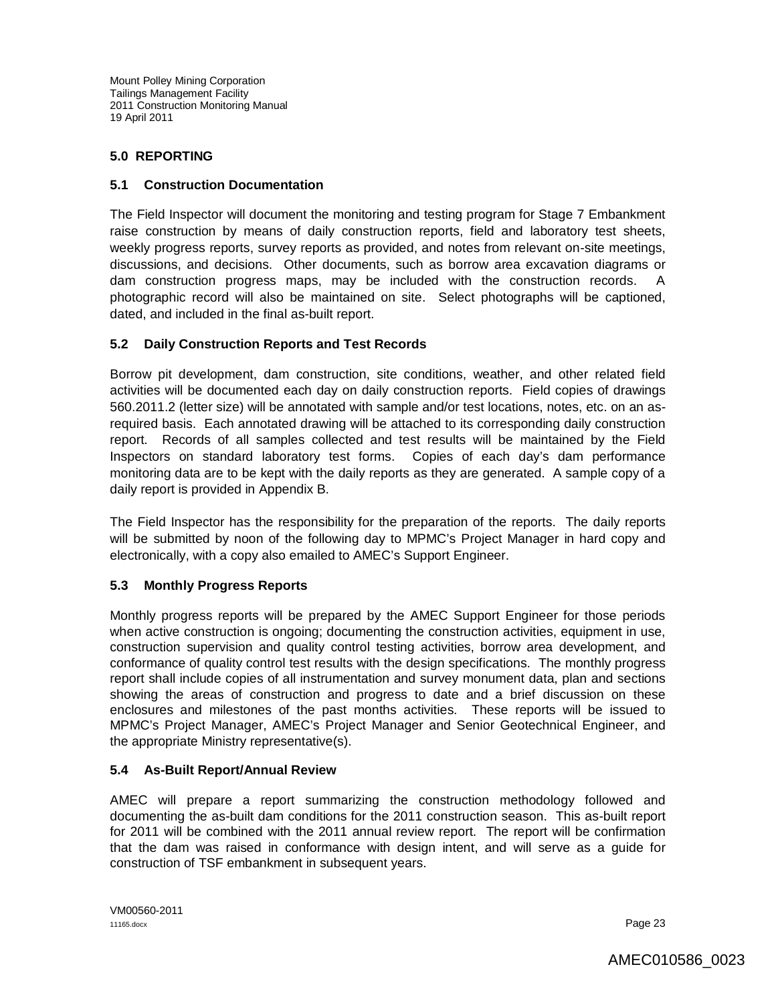# **5.0 REPORTING**

# **5.1 Construction Documentation**

The Field Inspector will document the monitoring and testing program for Stage 7 Embankment raise construction by means of daily construction reports, field and laboratory test sheets, weekly progress reports, survey reports as provided, and notes from relevant on-site meetings, discussions, and decisions. Other documents, such as borrow area excavation diagrams or dam construction progress maps, may be included with the construction records. A photographic record will also be maintained on site. Select photographs will be captioned, dated, and included in the final as-built report.

# **5.2 Daily Construction Reports and Test Records**

Borrow pit development, dam construction, site conditions, weather, and other related field activities will be documented each day on daily construction reports. Field copies of drawings 560.2011.2 (letter size) will be annotated with sample and/or test locations, notes, etc. on an asrequired basis. Each annotated drawing will be attached to its corresponding daily construction report. Records of all samples collected and test results will be maintained by the Field Inspectors on standard laboratory test forms. Copies of each day's dam performance monitoring data are to be kept with the daily reports as they are generated. A sample copy of a daily report is provided in Appendix B.

The Field Inspector has the responsibility for the preparation of the reports. The daily reports will be submitted by noon of the following day to MPMC's Project Manager in hard copy and electronically, with a copy also emailed to AMEC's Support Engineer.

# **5.3 Monthly Progress Reports**

Monthly progress reports will be prepared by the AMEC Support Engineer for those periods when active construction is ongoing; documenting the construction activities, equipment in use, construction supervision and quality control testing activities, borrow area development, and conformance of quality control test results with the design specifications. The monthly progress report shall include copies of all instrumentation and survey monument data, plan and sections showing the areas of construction and progress to date and a brief discussion on these enclosures and milestones of the past months activities. These reports will be issued to MPMC's Project Manager, AMEC's Project Manager and Senior Geotechnical Engineer, and the appropriate Ministry representative(s).

# **5.4 As-Built Report/Annual Review**

AMEC will prepare a report summarizing the construction methodology followed and documenting the as-built dam conditions for the 2011 construction season. This as-built report for 2011 will be combined with the 2011 annual review report. The report will be confirmation that the dam was raised in conformance with design intent, and will serve as a guide for construction of TSF embankment in subsequent years.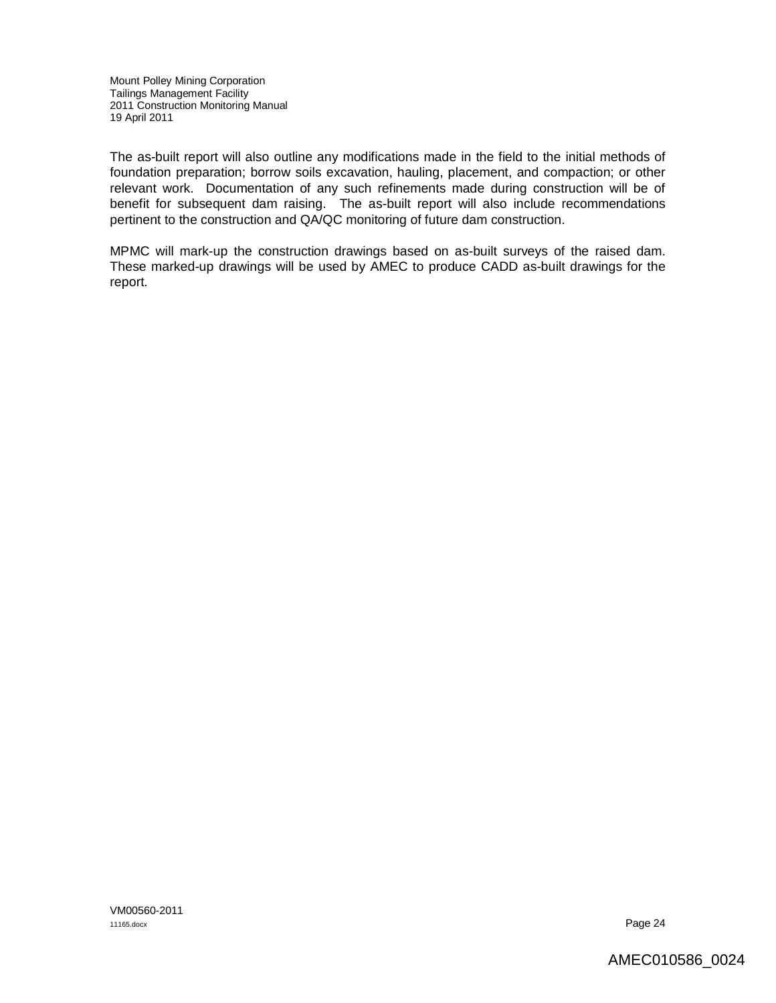The as-built report will also outline any modifications made in the field to the initial methods of foundation preparation; borrow soils excavation, hauling, placement, and compaction; or other relevant work. Documentation of any such refinements made during construction will be of benefit for subsequent dam raising. The as-built report will also include recommendations pertinent to the construction and QA/QC monitoring of future dam construction.

MPMC will mark-up the construction drawings based on as-built surveys of the raised dam. These marked-up drawings will be used by AMEC to produce CADD as-built drawings for the report.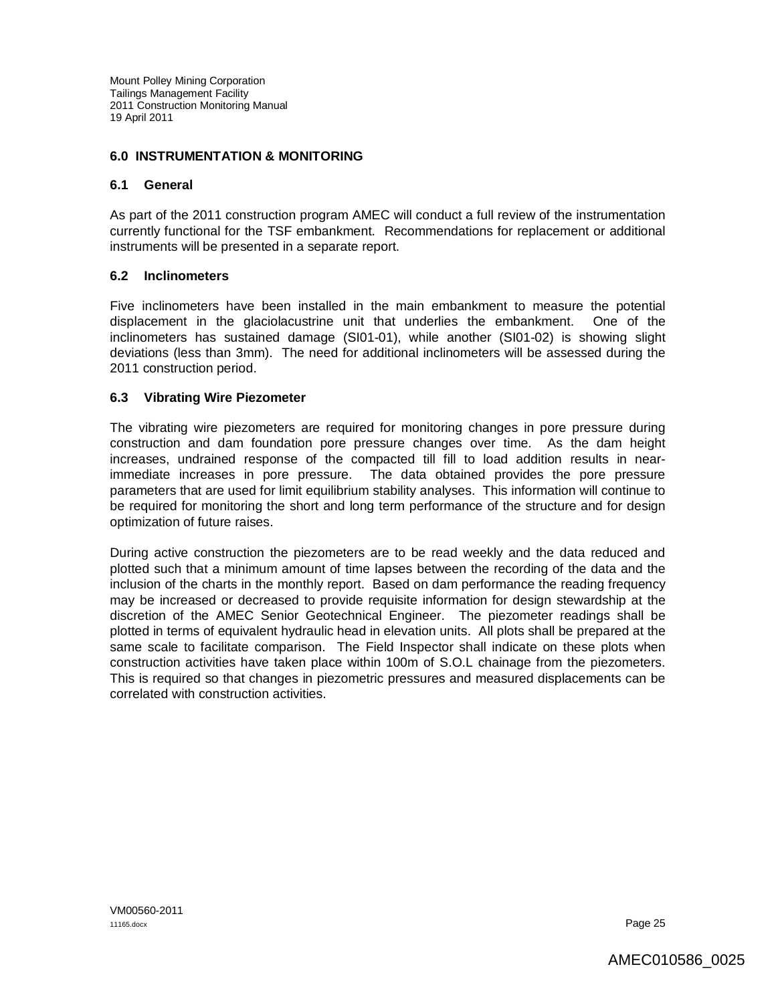#### **6.0 INSTRUMENTATION & MONITORING**

#### **6.1 General**

As part of the 2011 construction program AMEC will conduct a full review of the instrumentation currently functional for the TSF embankment. Recommendations for replacement or additional instruments will be presented in a separate report.

#### **6.2 Inclinometers**

Five inclinometers have been installed in the main embankment to measure the potential displacement in the glaciolacustrine unit that underlies the embankment. One of the inclinometers has sustained damage (SI01-01), while another (SI01-02) is showing slight deviations (less than 3mm). The need for additional inclinometers will be assessed during the 2011 construction period.

#### **6.3 Vibrating Wire Piezometer**

The vibrating wire piezometers are required for monitoring changes in pore pressure during construction and dam foundation pore pressure changes over time. As the dam height increases, undrained response of the compacted till fill to load addition results in nearimmediate increases in pore pressure. The data obtained provides the pore pressure parameters that are used for limit equilibrium stability analyses. This information will continue to be required for monitoring the short and long term performance of the structure and for design optimization of future raises.

During active construction the piezometers are to be read weekly and the data reduced and plotted such that a minimum amount of time lapses between the recording of the data and the inclusion of the charts in the monthly report. Based on dam performance the reading frequency may be increased or decreased to provide requisite information for design stewardship at the discretion of the AMEC Senior Geotechnical Engineer. The piezometer readings shall be plotted in terms of equivalent hydraulic head in elevation units. All plots shall be prepared at the same scale to facilitate comparison. The Field Inspector shall indicate on these plots when construction activities have taken place within 100m of S.O.L chainage from the piezometers. This is required so that changes in piezometric pressures and measured displacements can be correlated with construction activities.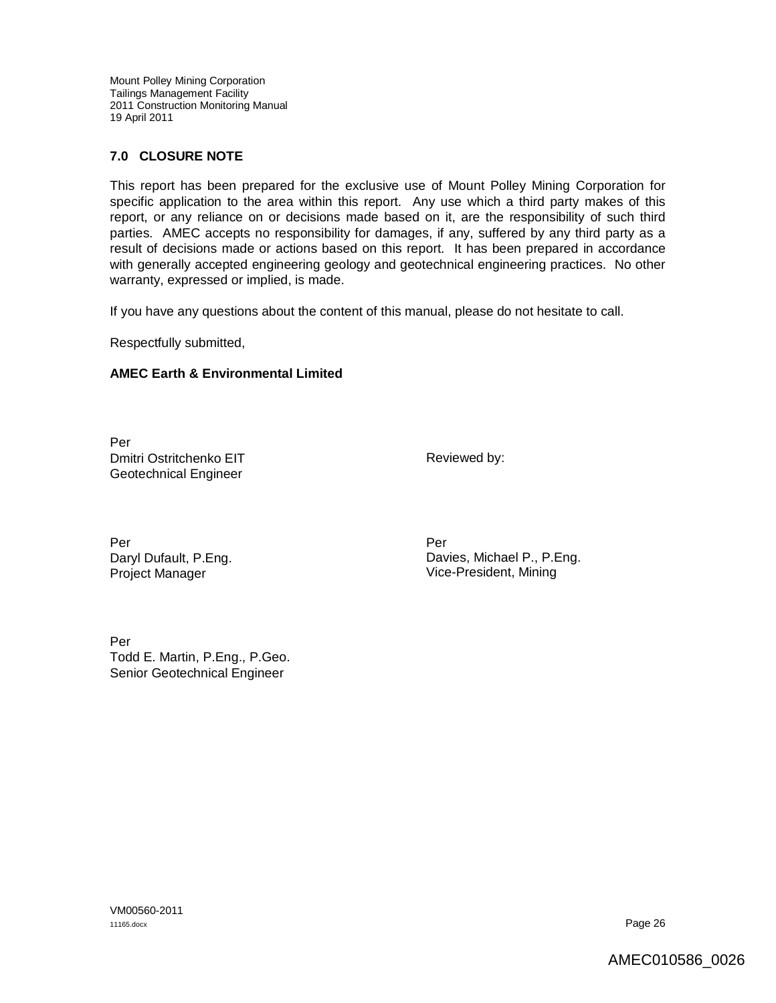# **7.0 CLOSURE NOTE**

This report has been prepared for the exclusive use of Mount Polley Mining Corporation for specific application to the area within this report. Any use which a third party makes of this report, or any reliance on or decisions made based on it, are the responsibility of such third parties. AMEC accepts no responsibility for damages, if any, suffered by any third party as a result of decisions made or actions based on this report. It has been prepared in accordance with generally accepted engineering geology and geotechnical engineering practices. No other warranty, expressed or implied, is made.

If you have any questions about the content of this manual, please do not hesitate to call.

Respectfully submitted,

#### **AMEC Earth & Environmental Limited**

Per Dmitri Ostritchenko EIT Geotechnical Engineer

Reviewed by:

Per Per Daryl Dufault, P.Eng. Project Manager

Davies, Michael P., P.Eng. Vice-President, Mining

Per Todd E. Martin, P.Eng., P.Geo. Senior Geotechnical Engineer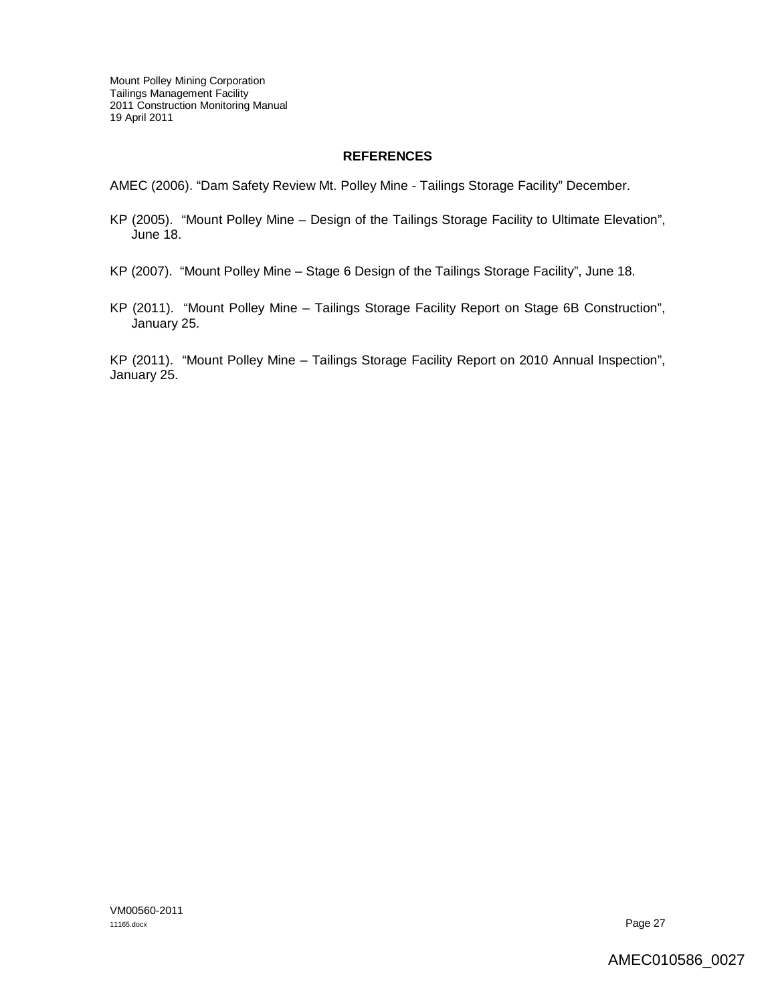#### **REFERENCES**

AMEC (2006). "Dam Safety Review Mt. Polley Mine - Tailings Storage Facility" December.

- KP (2005). "Mount Polley Mine Design of the Tailings Storage Facility to Ultimate Elevation", June 18.
- KP (2007). "Mount Polley Mine Stage 6 Design of the Tailings Storage Facility", June 18.
- KP (2011). "Mount Polley Mine Tailings Storage Facility Report on Stage 6B Construction", January 25.

KP (2011). "Mount Polley Mine – Tailings Storage Facility Report on 2010 Annual Inspection", January 25.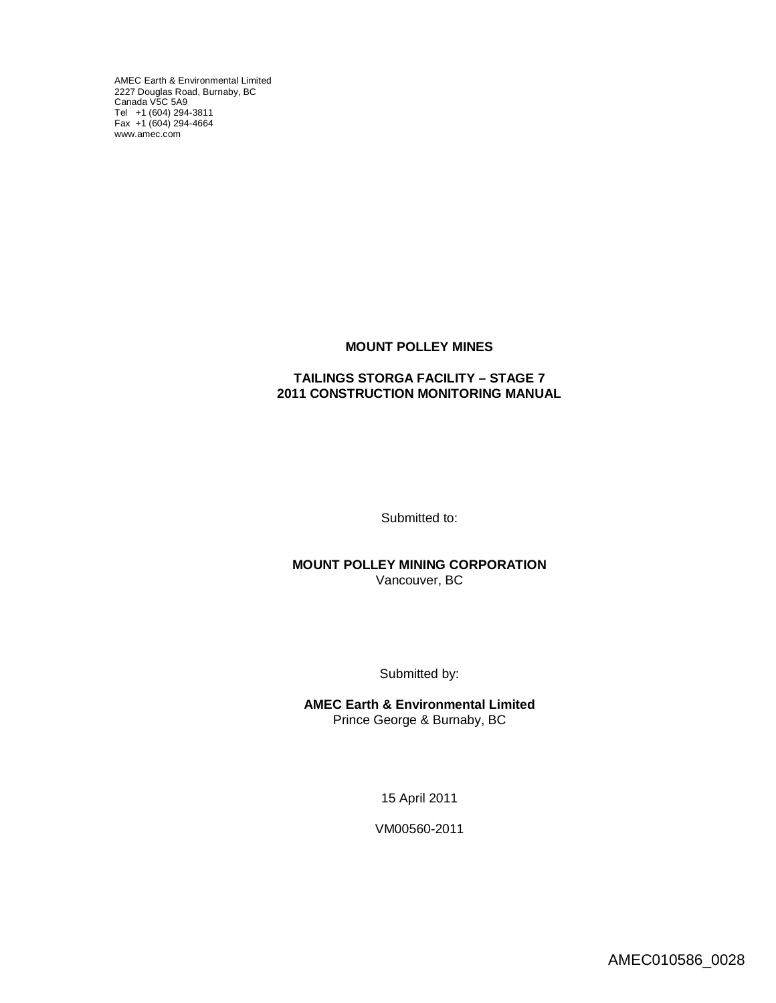AMEC Earth & Environmental Limited 2227 Douglas Road, Burnaby, BC [Canada V5C](http://www.amec.com) 5A9 Tel +1 (604) 294-3811 Fax +1 (604) 294-4664 www.amec.com

#### **MOUNT POLLEY MINES**

#### **TAILINGS STORGA FACILITY – STAGE 7 2011 CONSTRUCTION MONITORING MANUAL**

Submitted to:

**MOUNT POLLEY MINING CORPORATION** Vancouver, BC

Submitted by:

**AMEC Earth & Environmental Limited** Prince George & Burnaby, BC

15 April 2011

VM00560-2011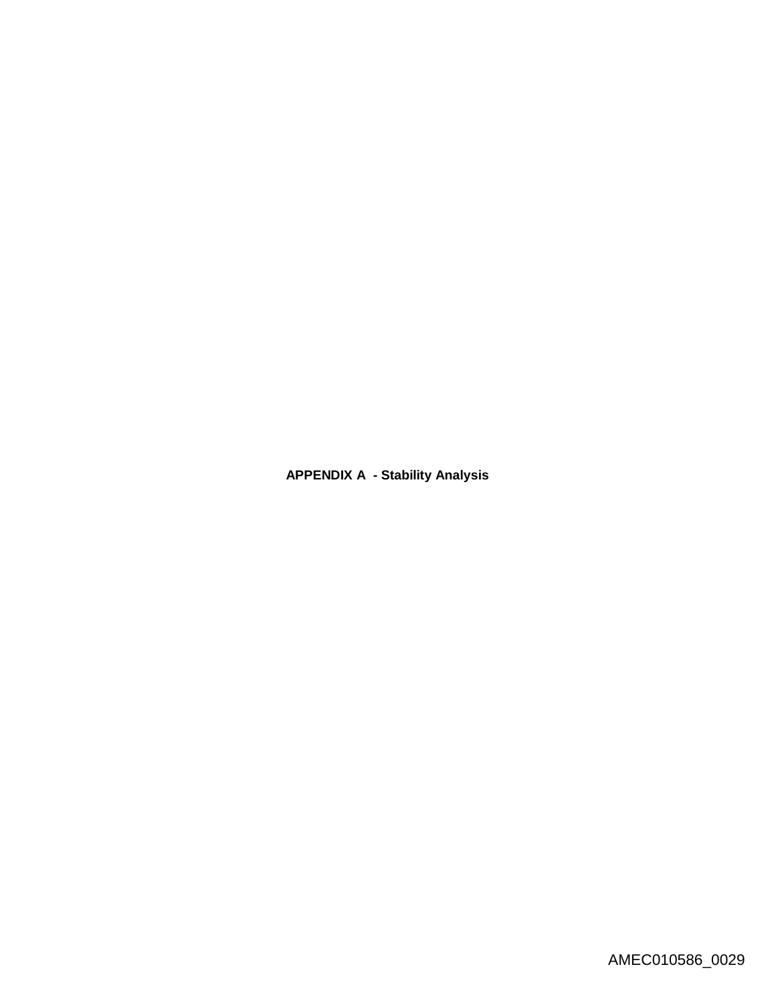**APPENDIX A - Stability Analysis**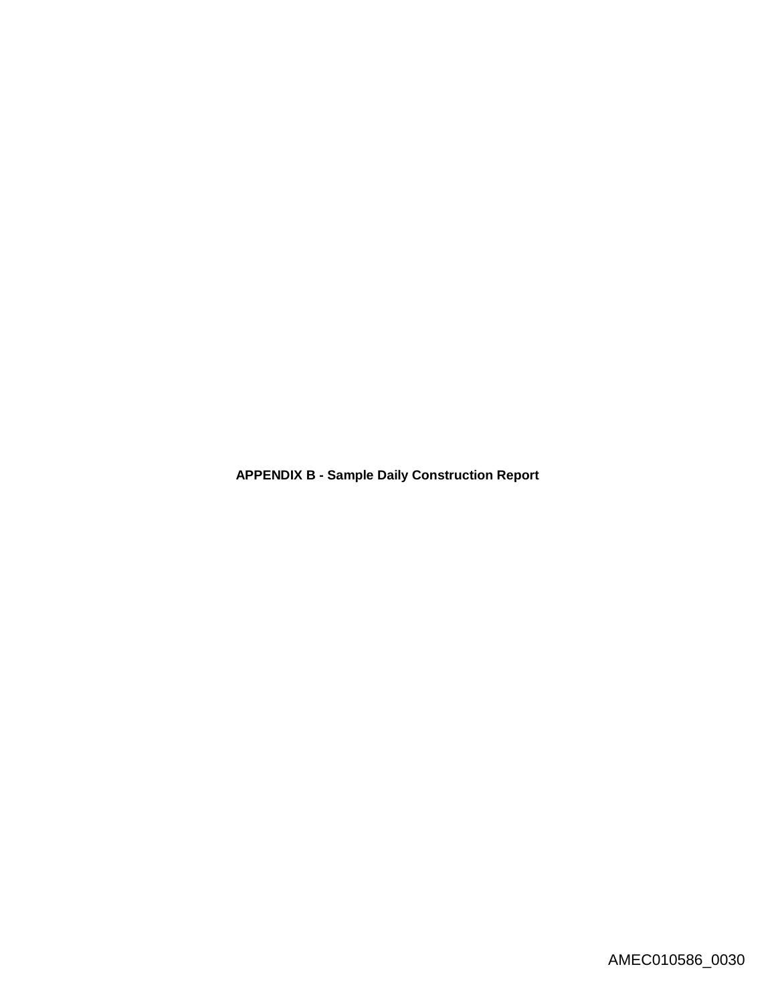**APPENDIX B - Sample Daily Construction Report**